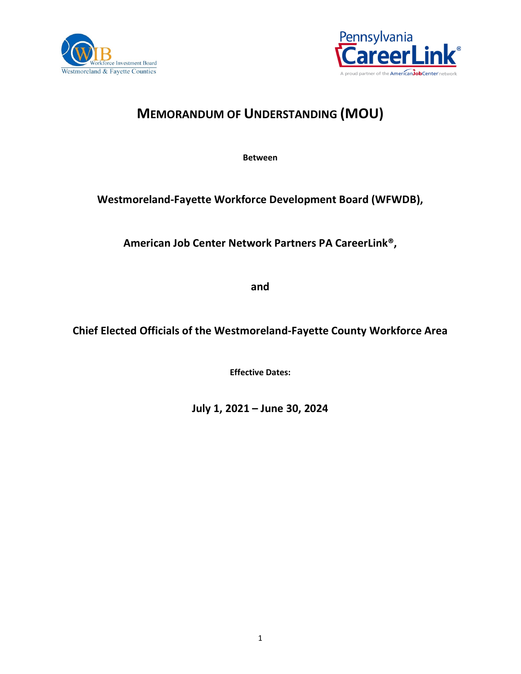



# **MEMORANDUM OF UNDERSTANDING (MOU)**

**Between** 

## **Westmoreland-Fayette Workforce Development Board (WFWDB),**

**American Job Center Network Partners PA CareerLink®,** 

**and**

**Chief Elected Officials of the Westmoreland-Fayette County Workforce Area**

**Effective Dates:**

**July 1, 2021 – June 30, 2024**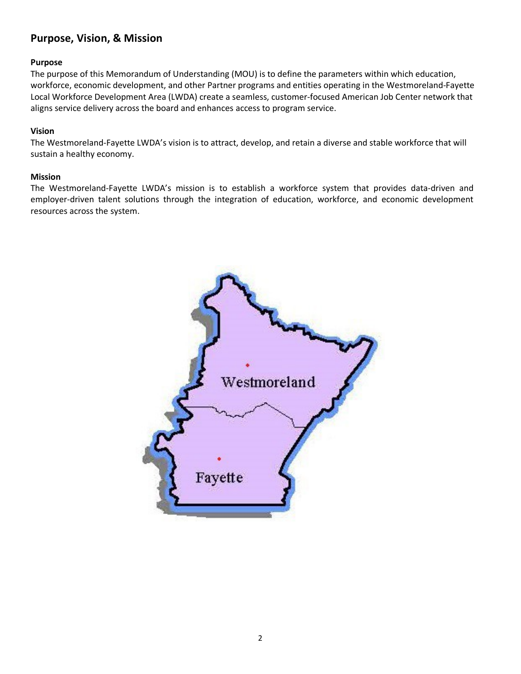## <span id="page-1-0"></span>**Purpose, Vision, & Mission**

#### **Purpose**

The purpose of this Memorandum of Understanding (MOU) is to define the parameters within which education, workforce, economic development, and other Partner programs and entities operating in the Westmoreland-Fayette Local Workforce Development Area (LWDA) create a seamless, customer-focused American Job Center network that aligns service delivery across the board and enhances access to program service.

#### **Vision**

The Westmoreland-Fayette LWDA's vision is to attract, develop, and retain a diverse and stable workforce that will sustain a healthy economy.

#### **Mission**

The Westmoreland-Fayette LWDA's mission is to establish a workforce system that provides data-driven and employer-driven talent solutions through the integration of education, workforce, and economic development resources across the system.

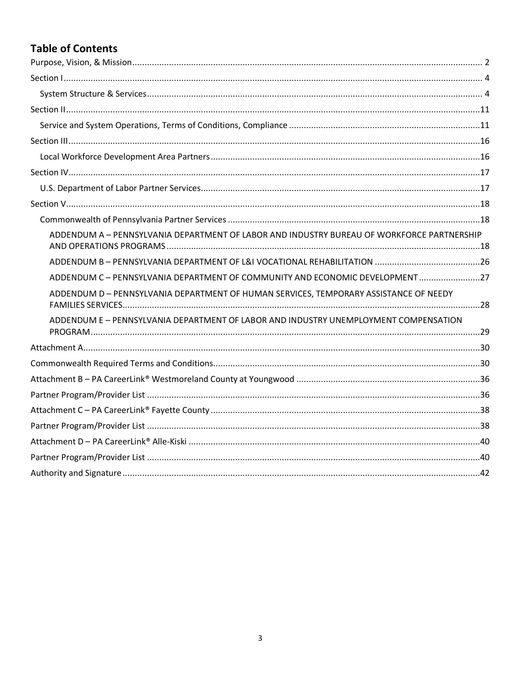# **Table of Contents**

| ADDENDUM A - PENNSYLVANIA DEPARTMENT OF LABOR AND INDUSTRY BUREAU OF WORKFORCE PARTNERSHIP |  |
|--------------------------------------------------------------------------------------------|--|
|                                                                                            |  |
| ADDENDUM C - PENNSYLVANIA DEPARTMENT OF COMMUNITY AND ECONOMIC DEVELOPMENT27               |  |
| ADDENDUM D - PENNSYLVANIA DEPARTMENT OF HUMAN SERVICES, TEMPORARY ASSISTANCE OF NEEDY      |  |
| ADDENDUM E - PENNSYLVANIA DEPARTMENT OF LABOR AND INDUSTRY UNEMPLOYMENT COMPENSATION       |  |
|                                                                                            |  |
|                                                                                            |  |
|                                                                                            |  |
|                                                                                            |  |
|                                                                                            |  |
|                                                                                            |  |
|                                                                                            |  |
|                                                                                            |  |
|                                                                                            |  |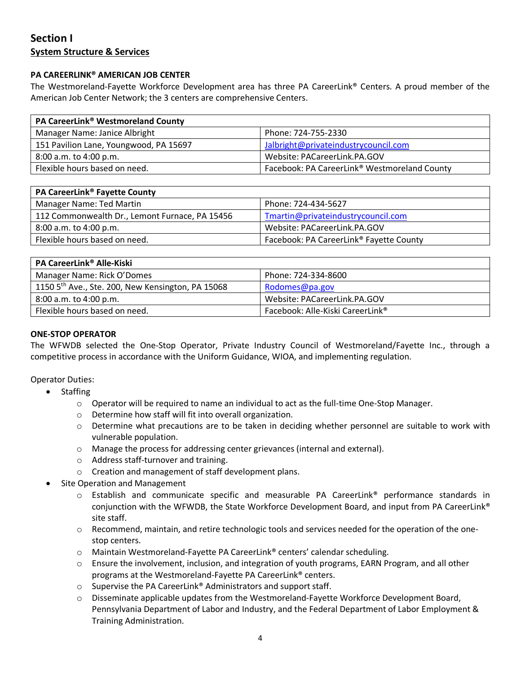## <span id="page-3-1"></span><span id="page-3-0"></span>**Section I System Structure & Services**

#### **PA CAREERLINK® AMERICAN JOB CENTER**

The Westmoreland-Fayette Workforce Development area has three PA CareerLink® Centers. A proud member of the American Job Center Network; the 3 centers are comprehensive Centers.

| <b>PA CareerLink<sup>®</sup> Westmoreland County</b> |                                                          |  |
|------------------------------------------------------|----------------------------------------------------------|--|
| Manager Name: Janice Albright                        | Phone: 724-755-2330                                      |  |
| 151 Pavilion Lane, Youngwood, PA 15697               | Jalbright@privateindustrycouncil.com                     |  |
| 8:00 a.m. to 4:00 p.m.                               | Website: PACareerLink.PA.GOV                             |  |
| Flexible hours based on need.                        | Facebook: PA CareerLink <sup>®</sup> Westmoreland County |  |

| <b>PA CareerLink<sup>®</sup> Fayette County</b> |                                                     |
|-------------------------------------------------|-----------------------------------------------------|
| Manager Name: Ted Martin                        | Phone: 724-434-5627                                 |
| 112 Commonwealth Dr., Lemont Furnace, PA 15456  | Tmartin@privateindustrycouncil.com                  |
| 8:00 a.m. to 4:00 p.m.                          | Website: PACareerLink.PA.GOV                        |
| Flexible hours based on need.                   | Facebook: PA CareerLink <sup>®</sup> Fayette County |

| <b>PA CareerLink<sup>®</sup> Alle-Kiski</b>                   |                                  |
|---------------------------------------------------------------|----------------------------------|
| Manager Name: Rick O'Domes                                    | Phone: 724-334-8600              |
| 1150 5 <sup>th</sup> Ave., Ste. 200, New Kensington, PA 15068 | Rodomes@pa.gov                   |
| 8:00 a.m. to 4:00 p.m.                                        | Website: PACareerLink.PA.GOV     |
| Flexible hours based on need.                                 | Facebook: Alle-Kiski CareerLink® |

#### **ONE-STOP OPERATOR**

The WFWDB selected the One-Stop Operator, Private Industry Council of Westmoreland/Fayette Inc., through a competitive process in accordance with the Uniform Guidance, WIOA, and implementing regulation.

#### Operator Duties:

- Staffing
	- $\circ$  Operator will be required to name an individual to act as the full-time One-Stop Manager.
	- o Determine how staff will fit into overall organization.
	- $\circ$  Determine what precautions are to be taken in deciding whether personnel are suitable to work with vulnerable population.
	- o Manage the process for addressing center grievances (internal and external).
	- o Address staff-turnover and training.
	- o Creation and management of staff development plans.
- Site Operation and Management
	- $\circ$  Establish and communicate specific and measurable PA CareerLink<sup>®</sup> performance standards in conjunction with the WFWDB, the State Workforce Development Board, and input from PA CareerLink® site staff.
	- o Recommend, maintain, and retire technologic tools and services needed for the operation of the onestop centers.
	- o Maintain Westmoreland-Fayette PA CareerLink® centers' calendar scheduling.
	- $\circ$  Ensure the involvement, inclusion, and integration of youth programs, EARN Program, and all other programs at the Westmoreland-Fayette PA CareerLink® centers.
	- o Supervise the PA CareerLink® Administrators and support staff.
	- o Disseminate applicable updates from the Westmoreland-Fayette Workforce Development Board, Pennsylvania Department of Labor and Industry, and the Federal Department of Labor Employment & Training Administration.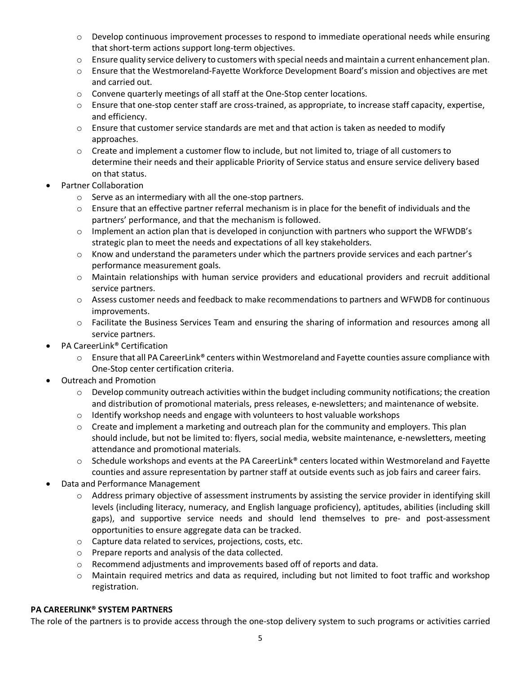- o Develop continuous improvement processes to respond to immediate operational needs while ensuring that short-term actions support long-term objectives.
- $\circ$  Ensure quality service delivery to customers with special needs and maintain a current enhancement plan.
- o Ensure that the Westmoreland-Fayette Workforce Development Board's mission and objectives are met and carried out.
- o Convene quarterly meetings of all staff at the One-Stop center locations.
- $\circ$  Ensure that one-stop center staff are cross-trained, as appropriate, to increase staff capacity, expertise, and efficiency.
- $\circ$  Ensure that customer service standards are met and that action is taken as needed to modify approaches.
- $\circ$  Create and implement a customer flow to include, but not limited to, triage of all customers to determine their needs and their applicable Priority of Service status and ensure service delivery based on that status.
- Partner Collaboration
	- o Serve as an intermediary with all the one-stop partners.
	- $\circ$  Ensure that an effective partner referral mechanism is in place for the benefit of individuals and the partners' performance, and that the mechanism is followed.
	- $\circ$  Implement an action plan that is developed in conjunction with partners who support the WFWDB's strategic plan to meet the needs and expectations of all key stakeholders.
	- $\circ$  Know and understand the parameters under which the partners provide services and each partner's performance measurement goals.
	- o Maintain relationships with human service providers and educational providers and recruit additional service partners.
	- o Assess customer needs and feedback to make recommendations to partners and WFWDB for continuous improvements.
	- o Facilitate the Business Services Team and ensuring the sharing of information and resources among all service partners.
- PA CareerLink<sup>®</sup> Certification
	- o Ensure that all PA CareerLink® centers within Westmoreland and Fayette counties assure compliance with One-Stop center certification criteria.
- Outreach and Promotion
	- $\circ$  Develop community outreach activities within the budget including community notifications; the creation and distribution of promotional materials, press releases, e-newsletters; and maintenance of website.
	- $\circ$  Identify workshop needs and engage with volunteers to host valuable workshops
	- $\circ$  Create and implement a marketing and outreach plan for the community and employers. This plan should include, but not be limited to: flyers, social media, website maintenance, e-newsletters, meeting attendance and promotional materials.
	- $\circ$  Schedule workshops and events at the PA CareerLink® centers located within Westmoreland and Fayette counties and assure representation by partner staff at outside events such as job fairs and career fairs.
- Data and Performance Management
	- $\circ$  Address primary objective of assessment instruments by assisting the service provider in identifying skill levels (including literacy, numeracy, and English language proficiency), aptitudes, abilities (including skill gaps), and supportive service needs and should lend themselves to pre- and post-assessment opportunities to ensure aggregate data can be tracked.
	- o Capture data related to services, projections, costs, etc.
	- o Prepare reports and analysis of the data collected.
	- o Recommend adjustments and improvements based off of reports and data.
	- o Maintain required metrics and data as required, including but not limited to foot traffic and workshop registration.

#### **PA CAREERLINK® SYSTEM PARTNERS**

The role of the partners is to provide access through the one-stop delivery system to such programs or activities carried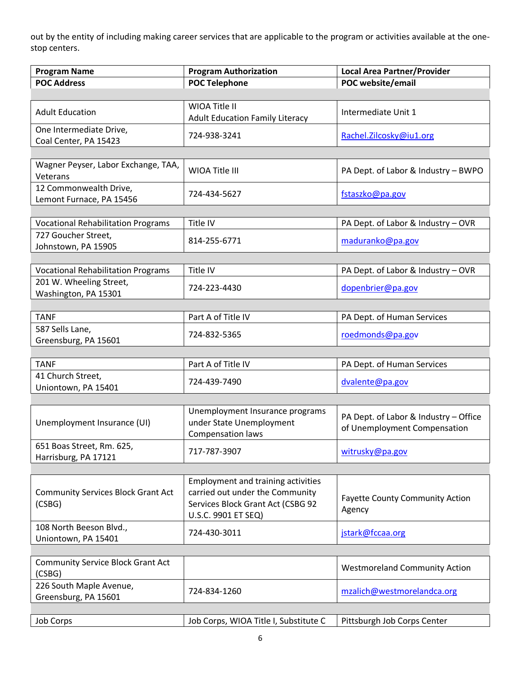out by the entity of including making career services that are applicable to the program or activities available at the onestop centers.

| <b>Program Name</b>                                 | <b>Program Authorization</b>                                                                                                             | <b>Local Area Partner/Provider</b>                                    |
|-----------------------------------------------------|------------------------------------------------------------------------------------------------------------------------------------------|-----------------------------------------------------------------------|
| <b>POC Address</b>                                  | <b>POC Telephone</b>                                                                                                                     | POC website/email                                                     |
|                                                     |                                                                                                                                          |                                                                       |
| <b>Adult Education</b>                              | WIOA Title II<br><b>Adult Education Family Literacy</b>                                                                                  | Intermediate Unit 1                                                   |
| One Intermediate Drive,<br>Coal Center, PA 15423    | 724-938-3241                                                                                                                             | Rachel.Zilcosky@iu1.org                                               |
|                                                     |                                                                                                                                          |                                                                       |
| Wagner Peyser, Labor Exchange, TAA,<br>Veterans     | WIOA Title III                                                                                                                           | PA Dept. of Labor & Industry - BWPO                                   |
| 12 Commonwealth Drive,<br>Lemont Furnace, PA 15456  | 724-434-5627                                                                                                                             | fstaszko@pa.gov                                                       |
|                                                     |                                                                                                                                          |                                                                       |
| <b>Vocational Rehabilitation Programs</b>           | Title IV                                                                                                                                 | PA Dept. of Labor & Industry - OVR                                    |
| 727 Goucher Street,<br>Johnstown, PA 15905          | 814-255-6771                                                                                                                             | maduranko@pa.gov                                                      |
|                                                     |                                                                                                                                          |                                                                       |
| <b>Vocational Rehabilitation Programs</b>           | Title IV                                                                                                                                 | PA Dept. of Labor & Industry - OVR                                    |
| 201 W. Wheeling Street,<br>Washington, PA 15301     | 724-223-4430                                                                                                                             | dopenbrier@pa.gov                                                     |
|                                                     |                                                                                                                                          |                                                                       |
| <b>TANF</b>                                         | Part A of Title IV                                                                                                                       | PA Dept. of Human Services                                            |
| 587 Sells Lane,<br>Greensburg, PA 15601             | 724-832-5365                                                                                                                             | roedmonds@pa.gov                                                      |
|                                                     |                                                                                                                                          |                                                                       |
| <b>TANF</b>                                         | Part A of Title IV                                                                                                                       | PA Dept. of Human Services                                            |
| 41 Church Street,<br>Uniontown, PA 15401            | 724-439-7490                                                                                                                             | dvalente@pa.gov                                                       |
|                                                     |                                                                                                                                          |                                                                       |
| Unemployment Insurance (UI)                         | Unemployment Insurance programs<br>under State Unemployment<br>Compensation laws                                                         | PA Dept. of Labor & Industry - Office<br>of Unemployment Compensation |
| 651 Boas Street, Rm. 625,<br>Harrisburg, PA 17121   | 717-787-3907                                                                                                                             | witrusky@pa.gov                                                       |
|                                                     |                                                                                                                                          |                                                                       |
| <b>Community Services Block Grant Act</b><br>(CSBG) | <b>Employment and training activities</b><br>carried out under the Community<br>Services Block Grant Act (CSBG 92<br>U.S.C. 9901 ET SEQ) | <b>Fayette County Community Action</b><br>Agency                      |
| 108 North Beeson Blvd.,                             | 724-430-3011                                                                                                                             |                                                                       |
| Uniontown, PA 15401                                 |                                                                                                                                          | jstark@fccaa.org                                                      |
|                                                     |                                                                                                                                          |                                                                       |
| <b>Community Service Block Grant Act</b><br>(CSBG)  |                                                                                                                                          | <b>Westmoreland Community Action</b>                                  |
| 226 South Maple Avenue,<br>Greensburg, PA 15601     | 724-834-1260                                                                                                                             | mzalich@westmorelandca.org                                            |
|                                                     |                                                                                                                                          |                                                                       |
| Job Corps                                           | Job Corps, WIOA Title I, Substitute C                                                                                                    | Pittsburgh Job Corps Center                                           |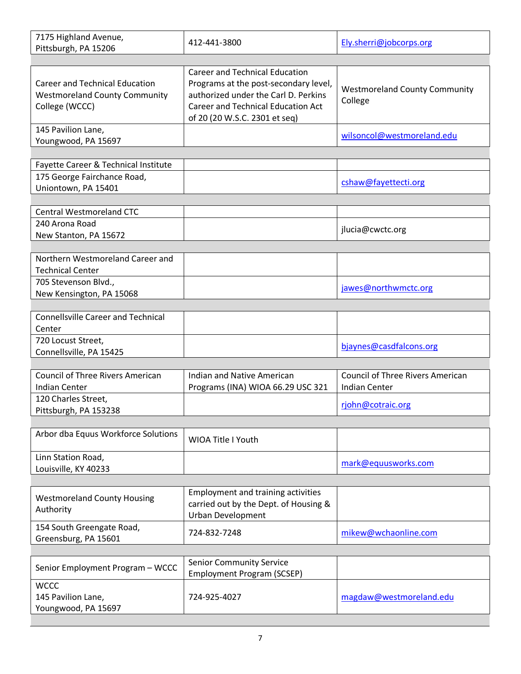| 7175 Highland Avenue,<br>Pittsburgh, PA 15206                                                   | 412-441-3800                                                                                                                                                                                         | Ely.sherri@jobcorps.org                                         |
|-------------------------------------------------------------------------------------------------|------------------------------------------------------------------------------------------------------------------------------------------------------------------------------------------------------|-----------------------------------------------------------------|
|                                                                                                 |                                                                                                                                                                                                      |                                                                 |
| <b>Career and Technical Education</b><br><b>Westmoreland County Community</b><br>College (WCCC) | <b>Career and Technical Education</b><br>Programs at the post-secondary level,<br>authorized under the Carl D. Perkins<br><b>Career and Technical Education Act</b><br>of 20 (20 W.S.C. 2301 et seq) | <b>Westmoreland County Community</b><br>College                 |
| 145 Pavilion Lane,<br>Youngwood, PA 15697                                                       |                                                                                                                                                                                                      | wilsoncol@westmoreland.edu                                      |
|                                                                                                 |                                                                                                                                                                                                      |                                                                 |
| Fayette Career & Technical Institute<br>175 George Fairchance Road,<br>Uniontown, PA 15401      |                                                                                                                                                                                                      | cshaw@fayettecti.org                                            |
| <b>Central Westmoreland CTC</b>                                                                 |                                                                                                                                                                                                      |                                                                 |
| 240 Arona Road<br>New Stanton, PA 15672                                                         |                                                                                                                                                                                                      | jlucia@cwctc.org                                                |
|                                                                                                 |                                                                                                                                                                                                      |                                                                 |
| Northern Westmoreland Career and<br><b>Technical Center</b>                                     |                                                                                                                                                                                                      |                                                                 |
| 705 Stevenson Blvd.,<br>New Kensington, PA 15068                                                |                                                                                                                                                                                                      | jawes@northwmctc.org                                            |
| <b>Connellsville Career and Technical</b>                                                       |                                                                                                                                                                                                      |                                                                 |
| Center                                                                                          |                                                                                                                                                                                                      |                                                                 |
| 720 Locust Street,<br>Connellsville, PA 15425                                                   |                                                                                                                                                                                                      | bjaynes@casdfalcons.org                                         |
|                                                                                                 |                                                                                                                                                                                                      |                                                                 |
| <b>Council of Three Rivers American</b><br><b>Indian Center</b>                                 | Indian and Native American<br>Programs (INA) WIOA 66.29 USC 321                                                                                                                                      | <b>Council of Three Rivers American</b><br><b>Indian Center</b> |
| 120 Charles Street,<br>Pittsburgh, PA 153238                                                    |                                                                                                                                                                                                      | rjohn@cotraic.org                                               |
|                                                                                                 |                                                                                                                                                                                                      |                                                                 |
| Arbor dba Equus Workforce Solutions                                                             | WIOA Title I Youth                                                                                                                                                                                   |                                                                 |
| Linn Station Road,<br>Louisville, KY 40233                                                      |                                                                                                                                                                                                      | mark@equusworks.com                                             |
|                                                                                                 |                                                                                                                                                                                                      |                                                                 |
| <b>Westmoreland County Housing</b><br>Authority                                                 | <b>Employment and training activities</b><br>carried out by the Dept. of Housing &<br>Urban Development                                                                                              |                                                                 |
| 154 South Greengate Road,<br>Greensburg, PA 15601                                               | 724-832-7248                                                                                                                                                                                         | mikew@wchaonline.com                                            |
|                                                                                                 |                                                                                                                                                                                                      |                                                                 |
| Senior Employment Program - WCCC                                                                | <b>Senior Community Service</b><br><b>Employment Program (SCSEP)</b>                                                                                                                                 |                                                                 |
| <b>WCCC</b><br>145 Pavilion Lane,<br>Youngwood, PA 15697                                        | 724-925-4027                                                                                                                                                                                         | magdaw@westmoreland.edu                                         |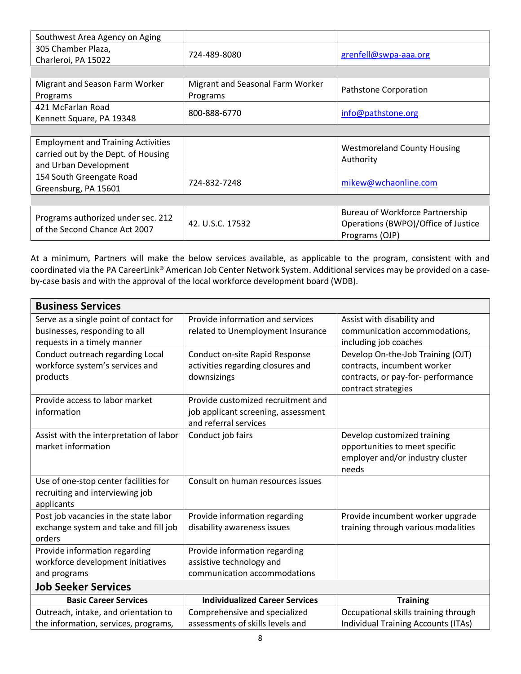| Southwest Area Agency on Aging                                                                            |                                              |                                                                                                 |
|-----------------------------------------------------------------------------------------------------------|----------------------------------------------|-------------------------------------------------------------------------------------------------|
| 305 Chamber Plaza,<br>Charleroi, PA 15022                                                                 | 724-489-8080                                 | grenfell@swpa-aaa.org                                                                           |
|                                                                                                           |                                              |                                                                                                 |
| Migrant and Season Farm Worker<br>Programs                                                                | Migrant and Seasonal Farm Worker<br>Programs | Pathstone Corporation                                                                           |
| 421 McFarlan Road<br>Kennett Square, PA 19348                                                             | 800-888-6770                                 | info@pathstone.org                                                                              |
|                                                                                                           |                                              |                                                                                                 |
| <b>Employment and Training Activities</b><br>carried out by the Dept. of Housing<br>and Urban Development |                                              | <b>Westmoreland County Housing</b><br>Authority                                                 |
| 154 South Greengate Road<br>Greensburg, PA 15601                                                          | 724-832-7248                                 | mikew@wchaonline.com                                                                            |
|                                                                                                           |                                              |                                                                                                 |
| Programs authorized under sec. 212<br>of the Second Chance Act 2007                                       | 42. U.S.C. 17532                             | <b>Bureau of Workforce Partnership</b><br>Operations (BWPO)/Office of Justice<br>Programs (OJP) |

At a minimum, Partners will make the below services available, as applicable to the program, consistent with and coordinated via the PA CareerLink® American Job Center Network System. Additional services may be provided on a caseby-case basis and with the approval of the local workforce development board (WDB).

| <b>Business Services</b>                |                                       |                                            |
|-----------------------------------------|---------------------------------------|--------------------------------------------|
| Serve as a single point of contact for  | Provide information and services      | Assist with disability and                 |
| businesses, responding to all           | related to Unemployment Insurance     | communication accommodations,              |
| requests in a timely manner             |                                       | including job coaches                      |
| Conduct outreach regarding Local        | <b>Conduct on-site Rapid Response</b> | Develop On-the-Job Training (OJT)          |
| workforce system's services and         | activities regarding closures and     | contracts, incumbent worker                |
| products                                | downsizings                           | contracts, or pay-for- performance         |
|                                         |                                       | contract strategies                        |
| Provide access to labor market          | Provide customized recruitment and    |                                            |
| information                             | job applicant screening, assessment   |                                            |
|                                         | and referral services                 |                                            |
| Assist with the interpretation of labor | Conduct job fairs                     | Develop customized training                |
| market information                      |                                       | opportunities to meet specific             |
|                                         |                                       | employer and/or industry cluster           |
|                                         |                                       | needs                                      |
| Use of one-stop center facilities for   | Consult on human resources issues     |                                            |
| recruiting and interviewing job         |                                       |                                            |
| applicants                              |                                       |                                            |
| Post job vacancies in the state labor   | Provide information regarding         | Provide incumbent worker upgrade           |
| exchange system and take and fill job   | disability awareness issues           | training through various modalities        |
| orders                                  |                                       |                                            |
| Provide information regarding           | Provide information regarding         |                                            |
| workforce development initiatives       | assistive technology and              |                                            |
| and programs                            | communication accommodations          |                                            |
| <b>Job Seeker Services</b>              |                                       |                                            |
| <b>Basic Career Services</b>            | <b>Individualized Career Services</b> | <b>Training</b>                            |
| Outreach, intake, and orientation to    | Comprehensive and specialized         | Occupational skills training through       |
| the information, services, programs,    | assessments of skills levels and      | <b>Individual Training Accounts (ITAs)</b> |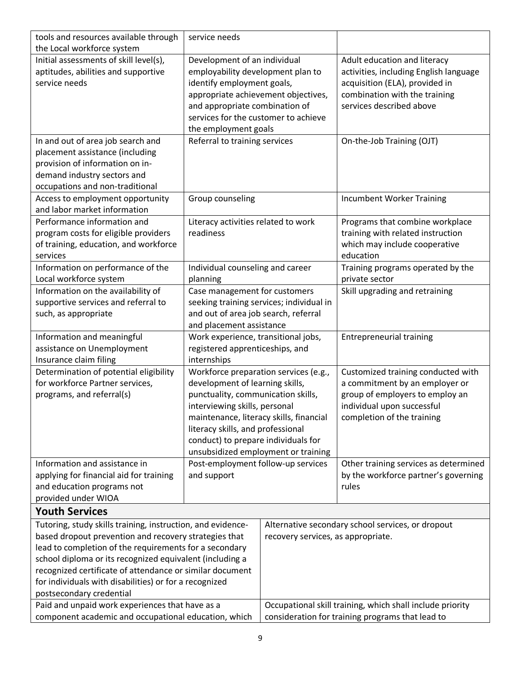| tools and resources available through                                     | service needs                                                                |                                                  |                                                           |
|---------------------------------------------------------------------------|------------------------------------------------------------------------------|--------------------------------------------------|-----------------------------------------------------------|
| the Local workforce system<br>Initial assessments of skill level(s),      |                                                                              |                                                  | Adult education and literacy                              |
| aptitudes, abilities and supportive                                       | Development of an individual<br>employability development plan to            |                                                  | activities, including English language                    |
| service needs                                                             | identify employment goals,                                                   |                                                  | acquisition (ELA), provided in                            |
|                                                                           |                                                                              |                                                  |                                                           |
|                                                                           | appropriate achievement objectives,                                          |                                                  | combination with the training                             |
|                                                                           | and appropriate combination of                                               |                                                  | services described above                                  |
|                                                                           | services for the customer to achieve                                         |                                                  |                                                           |
| In and out of area job search and                                         | the employment goals<br>Referral to training services                        |                                                  |                                                           |
|                                                                           |                                                                              |                                                  | On-the-Job Training (OJT)                                 |
| placement assistance (including<br>provision of information on in-        |                                                                              |                                                  |                                                           |
| demand industry sectors and                                               |                                                                              |                                                  |                                                           |
| occupations and non-traditional                                           |                                                                              |                                                  |                                                           |
| Access to employment opportunity                                          | Group counseling                                                             |                                                  | <b>Incumbent Worker Training</b>                          |
| and labor market information                                              |                                                                              |                                                  |                                                           |
| Performance information and                                               | Literacy activities related to work                                          |                                                  | Programs that combine workplace                           |
| program costs for eligible providers                                      | readiness                                                                    |                                                  | training with related instruction                         |
| of training, education, and workforce                                     |                                                                              |                                                  | which may include cooperative                             |
| services                                                                  |                                                                              |                                                  | education                                                 |
| Information on performance of the                                         | Individual counseling and career                                             |                                                  | Training programs operated by the                         |
| Local workforce system                                                    | planning                                                                     |                                                  | private sector                                            |
| Information on the availability of                                        | Case management for customers                                                |                                                  | Skill upgrading and retraining                            |
| supportive services and referral to                                       |                                                                              | seeking training services; individual in         |                                                           |
| such, as appropriate                                                      | and out of area job search, referral                                         |                                                  |                                                           |
|                                                                           | and placement assistance                                                     |                                                  |                                                           |
| Information and meaningful                                                | Work experience, transitional jobs,                                          |                                                  | <b>Entrepreneurial training</b>                           |
| assistance on Unemployment                                                | registered apprenticeships, and                                              |                                                  |                                                           |
| Insurance claim filing                                                    | internships                                                                  |                                                  |                                                           |
| Determination of potential eligibility<br>for workforce Partner services, | Workforce preparation services (e.g.,                                        |                                                  | Customized training conducted with                        |
|                                                                           | development of learning skills,                                              |                                                  | a commitment by an employer or                            |
| programs, and referral(s)                                                 | punctuality, communication skills,                                           |                                                  | group of employers to employ an                           |
|                                                                           | interviewing skills, personal                                                |                                                  | individual upon successful                                |
|                                                                           | maintenance, literacy skills, financial<br>literacy skills, and professional |                                                  | completion of the training                                |
|                                                                           | conduct) to prepare individuals for                                          |                                                  |                                                           |
|                                                                           |                                                                              | unsubsidized employment or training              |                                                           |
| Information and assistance in                                             | Post-employment follow-up services                                           |                                                  | Other training services as determined                     |
| applying for financial aid for training                                   | and support                                                                  |                                                  | by the workforce partner's governing                      |
| and education programs not                                                |                                                                              |                                                  | rules                                                     |
| provided under WIOA                                                       |                                                                              |                                                  |                                                           |
| <b>Youth Services</b>                                                     |                                                                              |                                                  |                                                           |
| Tutoring, study skills training, instruction, and evidence-               |                                                                              |                                                  | Alternative secondary school services, or dropout         |
| based dropout prevention and recovery strategies that                     |                                                                              | recovery services, as appropriate.               |                                                           |
|                                                                           | lead to completion of the requirements for a secondary                       |                                                  |                                                           |
| school diploma or its recognized equivalent (including a                  |                                                                              |                                                  |                                                           |
| recognized certificate of attendance or similar document                  |                                                                              |                                                  |                                                           |
| for individuals with disabilities) or for a recognized                    |                                                                              |                                                  |                                                           |
| postsecondary credential                                                  |                                                                              |                                                  |                                                           |
| Paid and unpaid work experiences that have as a                           |                                                                              |                                                  | Occupational skill training, which shall include priority |
| component academic and occupational education, which                      |                                                                              | consideration for training programs that lead to |                                                           |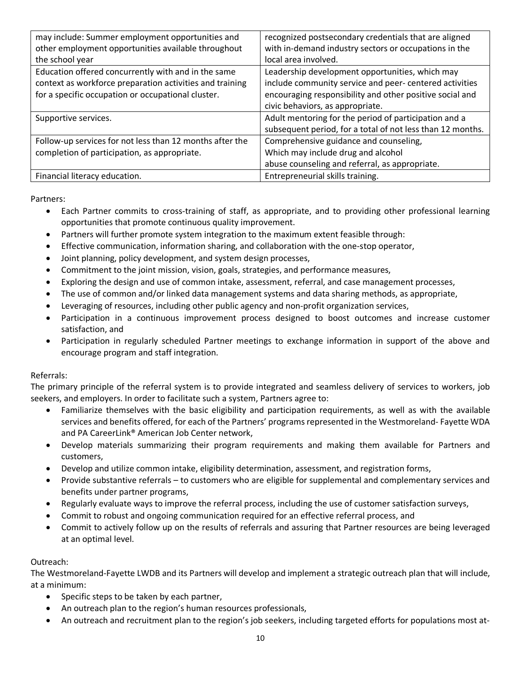| may include: Summer employment opportunities and         | recognized postsecondary credentials that are aligned      |
|----------------------------------------------------------|------------------------------------------------------------|
| other employment opportunities available throughout      | with in-demand industry sectors or occupations in the      |
| the school year                                          | local area involved.                                       |
| Education offered concurrently with and in the same      | Leadership development opportunities, which may            |
| context as workforce preparation activities and training | include community service and peer- centered activities    |
| for a specific occupation or occupational cluster.       | encouraging responsibility and other positive social and   |
|                                                          | civic behaviors, as appropriate.                           |
| Supportive services.                                     | Adult mentoring for the period of participation and a      |
|                                                          | subsequent period, for a total of not less than 12 months. |
| Follow-up services for not less than 12 months after the | Comprehensive guidance and counseling,                     |
| completion of participation, as appropriate.             | Which may include drug and alcohol                         |
|                                                          | abuse counseling and referral, as appropriate.             |
| Financial literacy education.                            | Entrepreneurial skills training.                           |

Partners:

- Each Partner commits to cross-training of staff, as appropriate, and to providing other professional learning opportunities that promote continuous quality improvement.
- Partners will further promote system integration to the maximum extent feasible through:
- Effective communication, information sharing, and collaboration with the one-stop operator,
- Joint planning, policy development, and system design processes,
- Commitment to the joint mission, vision, goals, strategies, and performance measures,
- Exploring the design and use of common intake, assessment, referral, and case management processes,
- The use of common and/or linked data management systems and data sharing methods, as appropriate,
- Leveraging of resources, including other public agency and non-profit organization services,
- Participation in a continuous improvement process designed to boost outcomes and increase customer satisfaction, and
- Participation in regularly scheduled Partner meetings to exchange information in support of the above and encourage program and staff integration.

#### Referrals:

The primary principle of the referral system is to provide integrated and seamless delivery of services to workers, job seekers, and employers. In order to facilitate such a system, Partners agree to:

- Familiarize themselves with the basic eligibility and participation requirements, as well as with the available services and benefits offered, for each of the Partners' programs represented in the Westmoreland- Fayette WDA and PA CareerLink® American Job Center network,
- Develop materials summarizing their program requirements and making them available for Partners and customers,
- Develop and utilize common intake, eligibility determination, assessment, and registration forms,
- Provide substantive referrals to customers who are eligible for supplemental and complementary services and benefits under partner programs,
- Regularly evaluate ways to improve the referral process, including the use of customer satisfaction surveys,
- Commit to robust and ongoing communication required for an effective referral process, and
- Commit to actively follow up on the results of referrals and assuring that Partner resources are being leveraged at an optimal level.

#### Outreach:

The Westmoreland-Fayette LWDB and its Partners will develop and implement a strategic outreach plan that will include, at a minimum:

- Specific steps to be taken by each partner,
- An outreach plan to the region's human resources professionals,
- An outreach and recruitment plan to the region's job seekers, including targeted efforts for populations most at-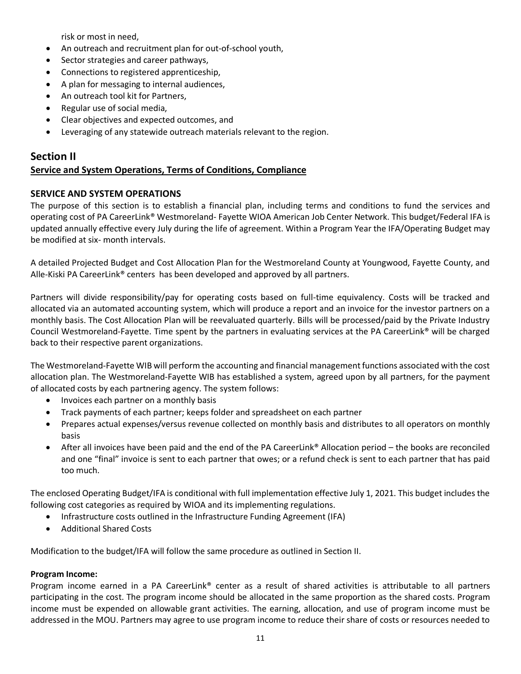risk or most in need,

- An outreach and recruitment plan for out-of-school youth,
- Sector strategies and career pathways,
- Connections to registered apprenticeship,
- A plan for messaging to internal audiences,
- An outreach tool kit for Partners,
- Regular use of social media,
- Clear objectives and expected outcomes, and
- Leveraging of any statewide outreach materials relevant to the region.

#### <span id="page-10-1"></span><span id="page-10-0"></span>**Section II Service and System Operations, Terms of Conditions, Compliance**

#### **SERVICE AND SYSTEM OPERATIONS**

The purpose of this section is to establish a financial plan, including terms and conditions to fund the services and operating cost of PA CareerLink® Westmoreland- Fayette WIOA American Job Center Network. This budget/Federal IFA is updated annually effective every July during the life of agreement. Within a Program Year the IFA/Operating Budget may be modified at six- month intervals.

A detailed Projected Budget and Cost Allocation Plan for the Westmoreland County at Youngwood, Fayette County, and Alle-Kiski PA CareerLink® centers has been developed and approved by all partners.

Partners will divide responsibility/pay for operating costs based on full-time equivalency. Costs will be tracked and allocated via an automated accounting system, which will produce a report and an invoice for the investor partners on a monthly basis. The Cost Allocation Plan will be reevaluated quarterly. Bills will be processed/paid by the Private Industry Council Westmoreland-Fayette. Time spent by the partners in evaluating services at the PA CareerLink® will be charged back to their respective parent organizations.

The Westmoreland-Fayette WIB will perform the accounting and financial management functions associated with the cost allocation plan. The Westmoreland-Fayette WIB has established a system, agreed upon by all partners, for the payment of allocated costs by each partnering agency. The system follows:

- Invoices each partner on a monthly basis
- Track payments of each partner; keeps folder and spreadsheet on each partner
- Prepares actual expenses/versus revenue collected on monthly basis and distributes to all operators on monthly basis
- After all invoices have been paid and the end of the PA CareerLink® Allocation period the books are reconciled and one "final" invoice is sent to each partner that owes; or a refund check is sent to each partner that has paid too much.

The enclosed Operating Budget/IFA is conditional with full implementation effective July 1, 2021. This budget includes the following cost categories as required by WIOA and its implementing regulations.

- Infrastructure costs outlined in the Infrastructure Funding Agreement (IFA)
- Additional Shared Costs

Modification to the budget/IFA will follow the same procedure as outlined in Section II.

#### **Program Income:**

Program income earned in a PA CareerLink® center as a result of shared activities is attributable to all partners participating in the cost. The program income should be allocated in the same proportion as the shared costs. Program income must be expended on allowable grant activities. The earning, allocation, and use of program income must be addressed in the MOU. Partners may agree to use program income to reduce their share of costs or resources needed to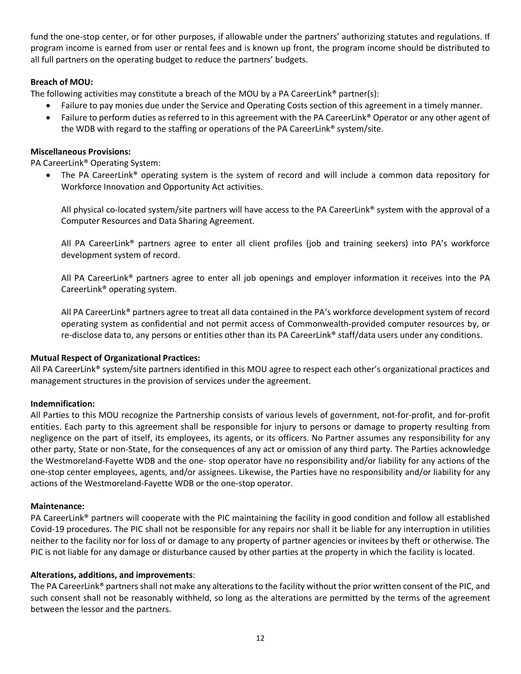fund the one-stop center, or for other purposes, if allowable under the partners' authorizing statutes and regulations. If program income is earned from user or rental fees and is known up front, the program income should be distributed to all full partners on the operating budget to reduce the partners' budgets.

#### **Breach of MOU:**

The following activities may constitute a breach of the MOU by a PA CareerLink® partner(s):

- Failure to pay monies due under the Service and Operating Costs section of this agreement in a timely manner.
- Failure to perform duties as referred to in this agreement with the PA CareerLink® Operator or any other agent of the WDB with regard to the staffing or operations of the PA CareerLink® system/site.

#### **Miscellaneous Provisions:**

PA CareerLink® Operating System:

• The PA CareerLink® operating system is the system of record and will include a common data repository for Workforce Innovation and Opportunity Act activities.

All physical co-located system/site partners will have access to the PA CareerLink® system with the approval of a Computer Resources and Data Sharing Agreement.

All PA CareerLink® partners agree to enter all client profiles (job and training seekers) into PA's workforce development system of record.

All PA CareerLink® partners agree to enter all job openings and employer information it receives into the PA CareerLink® operating system.

All PA CareerLink® partners agree to treat all data contained in the PA's workforce development system of record operating system as confidential and not permit access of Commonwealth-provided computer resources by, or re-disclose data to, any persons or entities other than its PA CareerLink® staff/data users under any conditions.

#### **Mutual Respect of Organizational Practices:**

All PA CareerLink® system/site partners identified in this MOU agree to respect each other's organizational practices and management structures in the provision of services under the agreement.

#### **Indemnification:**

All Parties to this MOU recognize the Partnership consists of various levels of government, not-for-profit, and for-profit entities. Each party to this agreement shall be responsible for injury to persons or damage to property resulting from negligence on the part of itself, its employees, its agents, or its officers. No Partner assumes any responsibility for any other party, State or non-State, for the consequences of any act or omission of any third party. The Parties acknowledge the Westmoreland-Fayette WDB and the one- stop operator have no responsibility and/or liability for any actions of the one-stop center employees, agents, and/or assignees. Likewise, the Parties have no responsibility and/or liability for any actions of the Westmoreland-Fayette WDB or the one-stop operator.

#### **Maintenance:**

PA CareerLink® partners will cooperate with the PIC maintaining the facility in good condition and follow all established Covid-19 procedures. The PIC shall not be responsible for any repairs nor shall it be liable for any interruption in utilities neither to the facility nor for loss of or damage to any property of partner agencies or invitees by theft or otherwise. The PIC is not liable for any damage or disturbance caused by other parties at the property in which the facility is located.

#### **Alterations, additions, and improvements**:

The PA CareerLink® partners shall not make any alterations to the facility without the prior written consent of the PIC, and such consent shall not be reasonably withheld, so long as the alterations are permitted by the terms of the agreement between the lessor and the partners.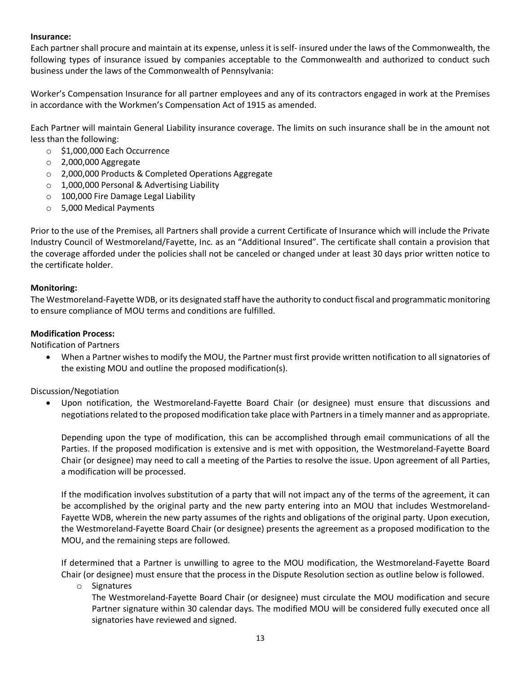#### **Insurance:**

Each partner shall procure and maintain at its expense, unless it is self- insured under the laws of the Commonwealth, the following types of insurance issued by companies acceptable to the Commonwealth and authorized to conduct such business under the laws of the Commonwealth of Pennsylvania:

Worker's Compensation Insurance for all partner employees and any of its contractors engaged in work at the Premises in accordance with the Workmen's Compensation Act of 1915 as amended.

Each Partner will maintain General Liability insurance coverage. The limits on such insurance shall be in the amount not less than the following:

- o \$1,000,000 Each Occurrence
- o 2,000,000 Aggregate
- o 2,000,000 Products & Completed Operations Aggregate
- o 1,000,000 Personal & Advertising Liability
- o 100,000 Fire Damage Legal Liability
- o 5,000 Medical Payments

Prior to the use of the Premises, all Partners shall provide a current Certificate of Insurance which will include the Private Industry Council of Westmoreland/Fayette, Inc. as an "Additional Insured". The certificate shall contain a provision that the coverage afforded under the policies shall not be canceled or changed under at least 30 days prior written notice to the certificate holder.

#### **Monitoring:**

The Westmoreland-Fayette WDB, or its designated staff have the authority to conduct fiscal and programmatic monitoring to ensure compliance of MOU terms and conditions are fulfilled.

#### **Modification Process:**

Notification of Partners

• When a Partner wishes to modify the MOU, the Partner must first provide written notification to all signatories of the existing MOU and outline the proposed modification(s).

Discussion/Negotiation

• Upon notification, the Westmoreland-Fayette Board Chair (or designee) must ensure that discussions and negotiations related to the proposed modification take place with Partners in a timely manner and as appropriate.

Depending upon the type of modification, this can be accomplished through email communications of all the Parties. If the proposed modification is extensive and is met with opposition, the Westmoreland-Fayette Board Chair (or designee) may need to call a meeting of the Parties to resolve the issue. Upon agreement of all Parties, a modification will be processed.

If the modification involves substitution of a party that will not impact any of the terms of the agreement, it can be accomplished by the original party and the new party entering into an MOU that includes Westmoreland-Fayette WDB, wherein the new party assumes of the rights and obligations of the original party. Upon execution, the Westmoreland-Fayette Board Chair (or designee) presents the agreement as a proposed modification to the MOU, and the remaining steps are followed.

If determined that a Partner is unwilling to agree to the MOU modification, the Westmoreland-Fayette Board Chair (or designee) must ensure that the process in the Dispute Resolution section as outline below is followed.

o Signatures

The Westmoreland-Fayette Board Chair (or designee) must circulate the MOU modification and secure Partner signature within 30 calendar days. The modified MOU will be considered fully executed once all signatories have reviewed and signed.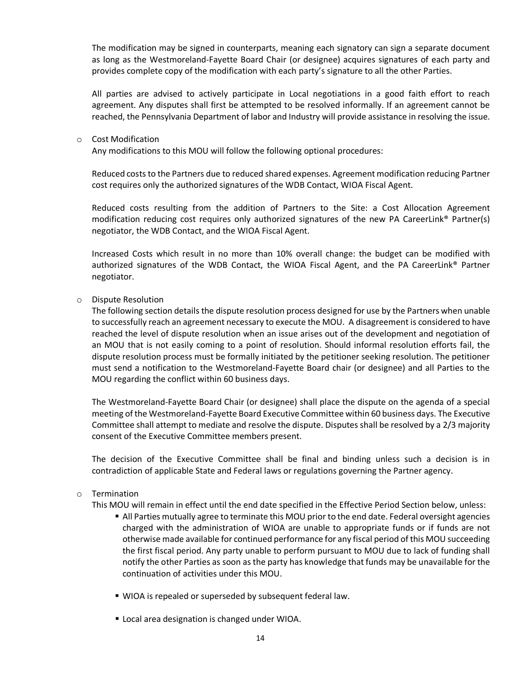The modification may be signed in counterparts, meaning each signatory can sign a separate document as long as the Westmoreland-Fayette Board Chair (or designee) acquires signatures of each party and provides complete copy of the modification with each party's signature to all the other Parties.

All parties are advised to actively participate in Local negotiations in a good faith effort to reach agreement. Any disputes shall first be attempted to be resolved informally. If an agreement cannot be reached, the Pennsylvania Department of labor and Industry will provide assistance in resolving the issue.

#### o Cost Modification

Any modifications to this MOU will follow the following optional procedures:

Reduced costs to the Partners due to reduced shared expenses. Agreement modification reducing Partner cost requires only the authorized signatures of the WDB Contact, WIOA Fiscal Agent.

Reduced costs resulting from the addition of Partners to the Site: a Cost Allocation Agreement modification reducing cost requires only authorized signatures of the new PA CareerLink® Partner(s) negotiator, the WDB Contact, and the WIOA Fiscal Agent.

Increased Costs which result in no more than 10% overall change: the budget can be modified with authorized signatures of the WDB Contact, the WIOA Fiscal Agent, and the PA CareerLink® Partner negotiator.

#### o Dispute Resolution

The following section details the dispute resolution process designed for use by the Partners when unable to successfully reach an agreement necessary to execute the MOU. A disagreement is considered to have reached the level of dispute resolution when an issue arises out of the development and negotiation of an MOU that is not easily coming to a point of resolution. Should informal resolution efforts fail, the dispute resolution process must be formally initiated by the petitioner seeking resolution. The petitioner must send a notification to the Westmoreland-Fayette Board chair (or designee) and all Parties to the MOU regarding the conflict within 60 business days.

The Westmoreland-Fayette Board Chair (or designee) shall place the dispute on the agenda of a special meeting of the Westmoreland-Fayette Board Executive Committee within 60 business days. The Executive Committee shall attempt to mediate and resolve the dispute. Disputes shall be resolved by a 2/3 majority consent of the Executive Committee members present.

The decision of the Executive Committee shall be final and binding unless such a decision is in contradiction of applicable State and Federal laws or regulations governing the Partner agency.

#### o Termination

This MOU will remain in effect until the end date specified in the Effective Period Section below, unless:

- All Parties mutually agree to terminate this MOU prior to the end date. Federal oversight agencies charged with the administration of WIOA are unable to appropriate funds or if funds are not otherwise made available for continued performance for any fiscal period of this MOU succeeding the first fiscal period. Any party unable to perform pursuant to MOU due to lack of funding shall notify the other Parties as soon as the party has knowledge that funds may be unavailable for the continuation of activities under this MOU.
- WIOA is repealed or superseded by subsequent federal law.
- **Local area designation is changed under WIOA.**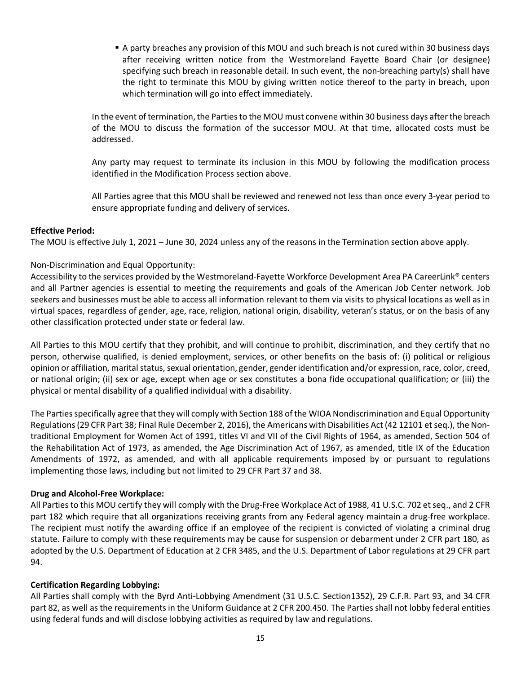A party breaches any provision of this MOU and such breach is not cured within 30 business days after receiving written notice from the Westmoreland Fayette Board Chair (or designee) specifying such breach in reasonable detail. In such event, the non-breaching party(s) shall have the right to terminate this MOU by giving written notice thereof to the party in breach, upon which termination will go into effect immediately.

In the event of termination, the Parties to the MOU must convene within 30 business days after the breach of the MOU to discuss the formation of the successor MOU. At that time, allocated costs must be addressed.

Any party may request to terminate its inclusion in this MOU by following the modification process identified in the Modification Process section above.

All Parties agree that this MOU shall be reviewed and renewed not less than once every 3-year period to ensure appropriate funding and delivery of services.

#### **Effective Period:**

The MOU is effective July 1, 2021 – June 30, 2024 unless any of the reasons in the Termination section above apply.

#### Non-Discrimination and Equal Opportunity:

Accessibility to the services provided by the Westmoreland-Fayette Workforce Development Area PA CareerLink® centers and all Partner agencies is essential to meeting the requirements and goals of the American Job Center network. Job seekers and businesses must be able to access all information relevant to them via visits to physical locations as well as in virtual spaces, regardless of gender, age, race, religion, national origin, disability, veteran's status, or on the basis of any other classification protected under state or federal law.

All Parties to this MOU certify that they prohibit, and will continue to prohibit, discrimination, and they certify that no person, otherwise qualified, is denied employment, services, or other benefits on the basis of: (i) political or religious opinion or affiliation, marital status, sexual orientation, gender, gender identification and/or expression, race, color, creed, or national origin; (ii) sex or age, except when age or sex constitutes a bona fide occupational qualification; or (iii) the physical or mental disability of a qualified individual with a disability.

The Parties specifically agree that they will comply with Section 188 of the WIOA Nondiscrimination and Equal Opportunity Regulations (29 CFR Part 38; Final Rule December 2, 2016), the Americans with Disabilities Act (42 12101 et seq.), the Nontraditional Employment for Women Act of 1991, titles VI and VII of the Civil Rights of 1964, as amended, Section 504 of the Rehabilitation Act of 1973, as amended, the Age Discrimination Act of 1967, as amended, title IX of the Education Amendments of 1972, as amended, and with all applicable requirements imposed by or pursuant to regulations implementing those laws, including but not limited to 29 CFR Part 37 and 38.

#### **Drug and Alcohol-Free Workplace:**

All Parties to this MOU certify they will comply with the Drug-Free Workplace Act of 1988, 41 U.S.C. 702 et seq., and 2 CFR part 182 which require that all organizations receiving grants from any Federal agency maintain a drug-free workplace. The recipient must notify the awarding office if an employee of the recipient is convicted of violating a criminal drug statute. Failure to comply with these requirements may be cause for suspension or debarment under 2 CFR part 180, as adopted by the U.S. Department of Education at 2 CFR 3485, and the U.S. Department of Labor regulations at 29 CFR part 94.

#### **Certification Regarding Lobbying:**

All Parties shall comply with the Byrd Anti-Lobbying Amendment (31 U.S.C. Section1352), 29 C.F.R. Part 93, and 34 CFR part 82, as well as the requirements in the Uniform Guidance at 2 CFR 200.450. The Parties shall not lobby federal entities using federal funds and will disclose lobbying activities as required by law and regulations.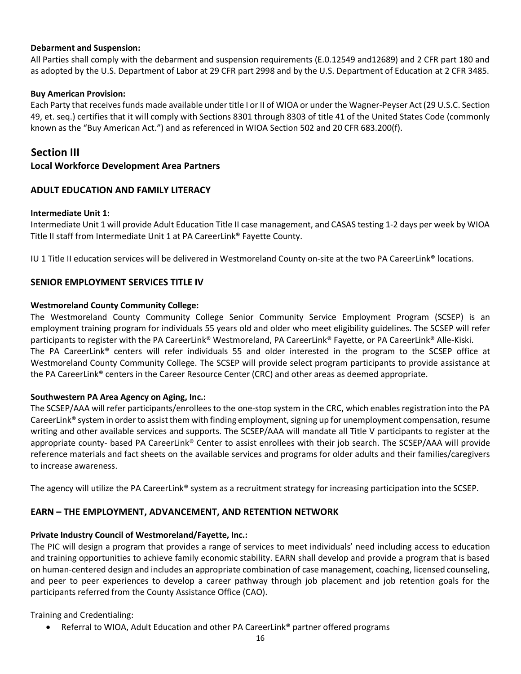#### **Debarment and Suspension:**

All Parties shall comply with the debarment and suspension requirements (E.0.12549 and12689) and 2 CFR part 180 and as adopted by the U.S. Department of Labor at 29 CFR part 2998 and by the U.S. Department of Education at 2 CFR 3485.

#### **Buy American Provision:**

Each Party that receives funds made available under title I or II of WIOA or under the Wagner-Peyser Act (29 U.S.C. Section 49, et. seq.) certifies that it will comply with Sections 8301 through 8303 of title 41 of the United States Code (commonly known as the "Buy American Act.") and as referenced in WIOA Section 502 and 20 CFR 683.200(f).

### <span id="page-15-0"></span>**Section III**

#### <span id="page-15-1"></span>**Local Workforce Development Area Partners**

#### **ADULT EDUCATION AND FAMILY LITERACY**

#### **Intermediate Unit 1:**

Intermediate Unit 1 will provide Adult Education Title II case management, and CASAS testing 1-2 days per week by WIOA Title II staff from Intermediate Unit 1 at PA CareerLink® Fayette County.

IU 1 Title II education services will be delivered in Westmoreland County on-site at the two PA CareerLink® locations.

#### **SENIOR EMPLOYMENT SERVICES TITLE IV**

#### **Westmoreland County Community College:**

The Westmoreland County Community College Senior Community Service Employment Program (SCSEP) is an employment training program for individuals 55 years old and older who meet eligibility guidelines. The SCSEP will refer participants to register with the PA CareerLink® Westmoreland, PA CareerLink® Fayette, or PA CareerLink® Alle-Kiski. The PA CareerLink® centers will refer individuals 55 and older interested in the program to the SCSEP office at Westmoreland County Community College. The SCSEP will provide select program participants to provide assistance at the PA CareerLink® centers in the Career Resource Center (CRC) and other areas as deemed appropriate.

#### **Southwestern PA Area Agency on Aging, Inc.:**

The SCSEP/AAA will refer participants/enrollees to the one-stop system in the CRC, which enables registration into the PA CareerLink® system in order to assist them with finding employment, signing up for unemployment compensation, resume writing and other available services and supports. The SCSEP/AAA will mandate all Title V participants to register at the appropriate county- based PA CareerLink® Center to assist enrollees with their job search. The SCSEP/AAA will provide reference materials and fact sheets on the available services and programs for older adults and their families/caregivers to increase awareness.

The agency will utilize the PA CareerLink® system as a recruitment strategy for increasing participation into the SCSEP.

#### **EARN – THE EMPLOYMENT, ADVANCEMENT, AND RETENTION NETWORK**

#### **Private Industry Council of Westmoreland/Fayette, Inc.:**

The PIC will design a program that provides a range of services to meet individuals' need including access to education and training opportunities to achieve family economic stability. EARN shall develop and provide a program that is based on human-centered design and includes an appropriate combination of case management, coaching, licensed counseling, and peer to peer experiences to develop a career pathway through job placement and job retention goals for the participants referred from the County Assistance Office (CAO).

Training and Credentialing:

• Referral to WIOA, Adult Education and other PA CareerLink® partner offered programs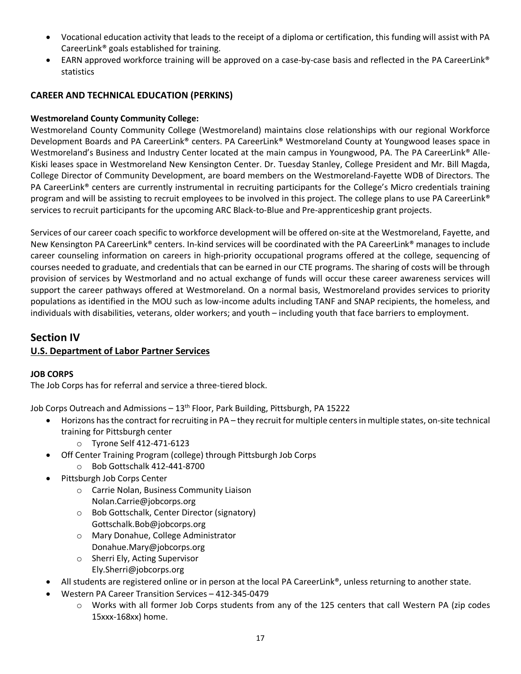- Vocational education activity that leads to the receipt of a diploma or certification, this funding will assist with PA CareerLink® goals established for training.
- EARN approved workforce training will be approved on a case-by-case basis and reflected in the PA CareerLink® statistics

### **CAREER AND TECHNICAL EDUCATION (PERKINS)**

### **Westmoreland County Community College:**

Westmoreland County Community College (Westmoreland) maintains close relationships with our regional Workforce Development Boards and PA CareerLink® centers. PA CareerLink® Westmoreland County at Youngwood leases space in Westmoreland's Business and Industry Center located at the main campus in Youngwood, PA. The PA CareerLink® Alle-Kiski leases space in Westmoreland New Kensington Center. Dr. Tuesday Stanley, College President and Mr. Bill Magda, College Director of Community Development, are board members on the Westmoreland-Fayette WDB of Directors. The PA CareerLink® centers are currently instrumental in recruiting participants for the College's Micro credentials training program and will be assisting to recruit employees to be involved in this project. The college plans to use PA CareerLink® services to recruit participants for the upcoming ARC Black-to-Blue and Pre-apprenticeship grant projects.

Services of our career coach specific to workforce development will be offered on-site at the Westmoreland, Fayette, and New Kensington PA CareerLink® centers. In-kind services will be coordinated with the PA CareerLink® manages to include career counseling information on careers in high-priority occupational programs offered at the college, sequencing of courses needed to graduate, and credentials that can be earned in our CTE programs. The sharing of costs will be through provision of services by Westmorland and no actual exchange of funds will occur these career awareness services will support the career pathways offered at Westmoreland. On a normal basis, Westmoreland provides services to priority populations as identified in the MOU such as low-income adults including TANF and SNAP recipients, the homeless, and individuals with disabilities, veterans, older workers; and youth – including youth that face barriers to employment.

### <span id="page-16-0"></span>**Section IV**

### <span id="page-16-1"></span>**U.S. Department of Labor Partner Services**

#### **JOB CORPS**

The Job Corps has for referral and service a three-tiered block.

Job Corps Outreach and Admissions - 13<sup>th</sup> Floor, Park Building, Pittsburgh, PA 15222

- Horizons has the contract for recruiting in PA they recruit for multiple centers in multiple states, on-site technical training for Pittsburgh center
	- o Tyrone Self 412-471-6123
- Off Center Training Program (college) through Pittsburgh Job Corps
	- o Bob Gottschalk 412-441-8700
- Pittsburgh Job Corps Center
	- o Carrie Nolan, Business Community Liaison Nolan.Carrie@jobcorps.org
	- o Bob Gottschalk, Center Director (signatory) Gottschalk.Bob@jobcorps.org
	- o Mary Donahue, College Administrator Donahue.Mary@jobcorps.org
	- o Sherri Ely, Acting Supervisor Ely.Sherri@jobcorps.org
- All students are registered online or in person at the local PA CareerLink®, unless returning to another state.
- Western PA Career Transition Services 412-345-0479
	- o Works with all former Job Corps students from any of the 125 centers that call Western PA (zip codes 15xxx-168xx) home.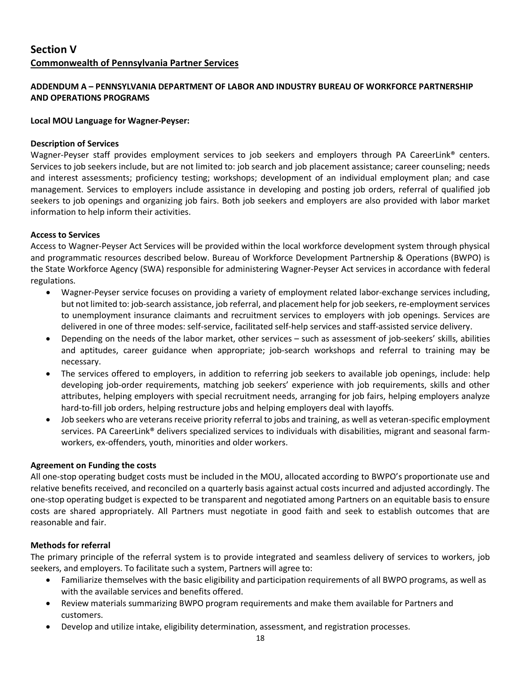## <span id="page-17-1"></span><span id="page-17-0"></span>**Section V Commonwealth of Pennsylvania Partner Services**

#### <span id="page-17-2"></span>**ADDENDUM A – PENNSYLVANIA DEPARTMENT OF LABOR AND INDUSTRY BUREAU OF WORKFORCE PARTNERSHIP AND OPERATIONS PROGRAMS**

#### **Local MOU Language for Wagner-Peyser:**

#### **Description of Services**

Wagner-Peyser staff provides employment services to job seekers and employers through PA CareerLink® centers. Services to job seekers include, but are not limited to: job search and job placement assistance; career counseling; needs and interest assessments; proficiency testing; workshops; development of an individual employment plan; and case management. Services to employers include assistance in developing and posting job orders, referral of qualified job seekers to job openings and organizing job fairs. Both job seekers and employers are also provided with labor market information to help inform their activities.

#### **Access to Services**

Access to Wagner-Peyser Act Services will be provided within the local workforce development system through physical and programmatic resources described below. Bureau of Workforce Development Partnership & Operations (BWPO) is the State Workforce Agency (SWA) responsible for administering Wagner-Peyser Act services in accordance with federal regulations.

- Wagner-Peyser service focuses on providing a variety of employment related labor-exchange services including, but not limited to: job-search assistance, job referral, and placement help for job seekers, re-employment services to unemployment insurance claimants and recruitment services to employers with job openings. Services are delivered in one of three modes: self-service, facilitated self-help services and staff-assisted service delivery.
- Depending on the needs of the labor market, other services such as assessment of job-seekers' skills, abilities and aptitudes, career guidance when appropriate; job-search workshops and referral to training may be necessary.
- The services offered to employers, in addition to referring job seekers to available job openings, include: help developing job-order requirements, matching job seekers' experience with job requirements, skills and other attributes, helping employers with special recruitment needs, arranging for job fairs, helping employers analyze hard-to-fill job orders, helping restructure jobs and helping employers deal with layoffs.
- Job seekers who are veterans receive priority referral to jobs and training, as well as veteran-specific employment services. PA CareerLink® delivers specialized services to individuals with disabilities, migrant and seasonal farmworkers, ex-offenders, youth, minorities and older workers.

#### **Agreement on Funding the costs**

All one-stop operating budget costs must be included in the MOU, allocated according to BWPO's proportionate use and relative benefits received, and reconciled on a quarterly basis against actual costs incurred and adjusted accordingly. The one-stop operating budget is expected to be transparent and negotiated among Partners on an equitable basis to ensure costs are shared appropriately. All Partners must negotiate in good faith and seek to establish outcomes that are reasonable and fair.

#### **Methods for referral**

The primary principle of the referral system is to provide integrated and seamless delivery of services to workers, job seekers, and employers. To facilitate such a system, Partners will agree to:

- Familiarize themselves with the basic eligibility and participation requirements of all BWPO programs, as well as with the available services and benefits offered.
- Review materials summarizing BWPO program requirements and make them available for Partners and customers.
- Develop and utilize intake, eligibility determination, assessment, and registration processes.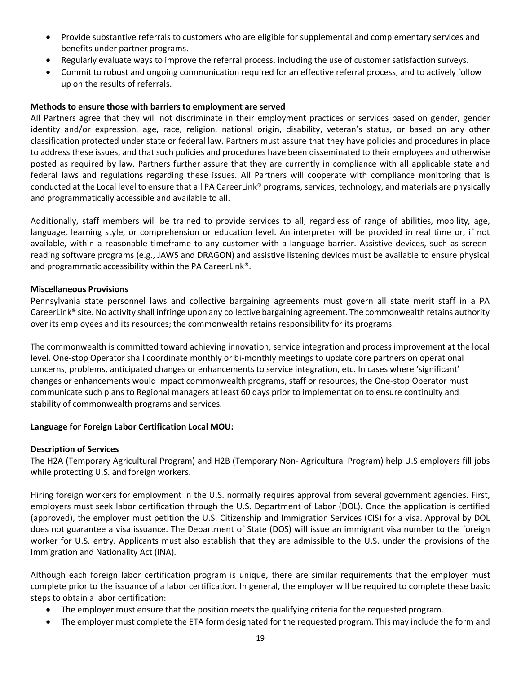- Provide substantive referrals to customers who are eligible for supplemental and complementary services and benefits under partner programs.
- Regularly evaluate ways to improve the referral process, including the use of customer satisfaction surveys.
- Commit to robust and ongoing communication required for an effective referral process, and to actively follow up on the results of referrals.

#### **Methods to ensure those with barriers to employment are served**

All Partners agree that they will not discriminate in their employment practices or services based on gender, gender identity and/or expression, age, race, religion, national origin, disability, veteran's status, or based on any other classification protected under state or federal law. Partners must assure that they have policies and procedures in place to address these issues, and that such policies and procedures have been disseminated to their employees and otherwise posted as required by law. Partners further assure that they are currently in compliance with all applicable state and federal laws and regulations regarding these issues. All Partners will cooperate with compliance monitoring that is conducted at the Local level to ensure that all PA CareerLink® programs, services, technology, and materials are physically and programmatically accessible and available to all.

Additionally, staff members will be trained to provide services to all, regardless of range of abilities, mobility, age, language, learning style, or comprehension or education level. An interpreter will be provided in real time or, if not available, within a reasonable timeframe to any customer with a language barrier. Assistive devices, such as screenreading software programs (e.g., JAWS and DRAGON) and assistive listening devices must be available to ensure physical and programmatic accessibility within the PA CareerLink®.

#### **Miscellaneous Provisions**

Pennsylvania state personnel laws and collective bargaining agreements must govern all state merit staff in a PA CareerLink® site. No activity shall infringe upon any collective bargaining agreement. The commonwealth retains authority over its employees and its resources; the commonwealth retains responsibility for its programs.

The commonwealth is committed toward achieving innovation, service integration and process improvement at the local level. One-stop Operator shall coordinate monthly or bi-monthly meetings to update core partners on operational concerns, problems, anticipated changes or enhancements to service integration, etc. In cases where 'significant' changes or enhancements would impact commonwealth programs, staff or resources, the One-stop Operator must communicate such plans to Regional managers at least 60 days prior to implementation to ensure continuity and stability of commonwealth programs and services.

#### **Language for Foreign Labor Certification Local MOU:**

#### **Description of Services**

The H2A (Temporary Agricultural Program) and H2B (Temporary Non- Agricultural Program) help U.S employers fill jobs while protecting U.S. and foreign workers.

Hiring foreign workers for employment in the U.S. normally requires approval from several government agencies. First, employers must seek labor certification through the U.S. Department of Labor (DOL). Once the application is certified (approved), the employer must petition the U.S. Citizenship and Immigration Services (CIS) for a visa. Approval by DOL does not guarantee a visa issuance. The Department of State (DOS) will issue an immigrant visa number to the foreign worker for U.S. entry. Applicants must also establish that they are admissible to the U.S. under the provisions of the Immigration and Nationality Act (INA).

Although each foreign labor certification program is unique, there are similar requirements that the employer must complete prior to the issuance of a labor certification. In general, the employer will be required to complete these basic steps to obtain a labor certification:

- The employer must ensure that the position meets the qualifying criteria for the requested program.
- The employer must complete the ETA form designated for the requested program. This may include the form and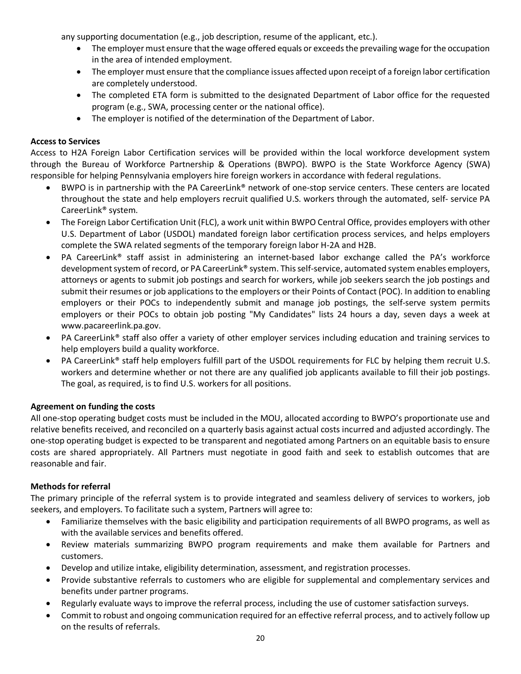any supporting documentation (e.g., job description, resume of the applicant, etc.).

- The employer must ensure that the wage offered equals or exceeds the prevailing wage for the occupation in the area of intended employment.
- The employer must ensure that the compliance issues affected upon receipt of a foreign labor certification are completely understood.
- The completed ETA form is submitted to the designated Department of Labor office for the requested program (e.g., SWA, processing center or the national office).
- The employer is notified of the determination of the Department of Labor.

#### **Access to Services**

Access to H2A Foreign Labor Certification services will be provided within the local workforce development system through the Bureau of Workforce Partnership & Operations (BWPO). BWPO is the State Workforce Agency (SWA) responsible for helping Pennsylvania employers hire foreign workers in accordance with federal regulations.

- BWPO is in partnership with the PA CareerLink® network of one-stop service centers. These centers are located throughout the state and help employers recruit qualified U.S. workers through the automated, self- service PA CareerLink® system.
- The Foreign Labor Certification Unit (FLC), a work unit within BWPO Central Office, provides employers with other U.S. Department of Labor (USDOL) mandated foreign labor certification process services, and helps employers complete the SWA related segments of the temporary foreign labor H-2A and H2B.
- PA CareerLink® staff assist in administering an internet-based labor exchange called the PA's workforce development system of record, or PA CareerLink® system. This self-service, automated system enables employers, attorneys or agents to submit job postings and search for workers, while job seekers search the job postings and submit their resumes or job applications to the employers or their Points of Contact (POC). In addition to enabling employers or their POCs to independently submit and manage job postings, the self-serve system permits employers or their POCs to obtain job posting "My Candidates" lists 24 hours a day, seven days a week at www.pacareerlink.pa.gov.
- PA CareerLink® staff also offer a variety of other employer services including education and training services to help employers build a quality workforce.
- PA CareerLink® staff help employers fulfill part of the USDOL requirements for FLC by helping them recruit U.S. workers and determine whether or not there are any qualified job applicants available to fill their job postings. The goal, as required, is to find U.S. workers for all positions.

#### **Agreement on funding the costs**

All one-stop operating budget costs must be included in the MOU, allocated according to BWPO's proportionate use and relative benefits received, and reconciled on a quarterly basis against actual costs incurred and adjusted accordingly. The one-stop operating budget is expected to be transparent and negotiated among Partners on an equitable basis to ensure costs are shared appropriately. All Partners must negotiate in good faith and seek to establish outcomes that are reasonable and fair.

#### **Methods for referral**

The primary principle of the referral system is to provide integrated and seamless delivery of services to workers, job seekers, and employers. To facilitate such a system, Partners will agree to:

- Familiarize themselves with the basic eligibility and participation requirements of all BWPO programs, as well as with the available services and benefits offered.
- Review materials summarizing BWPO program requirements and make them available for Partners and customers.
- Develop and utilize intake, eligibility determination, assessment, and registration processes.
- Provide substantive referrals to customers who are eligible for supplemental and complementary services and benefits under partner programs.
- Regularly evaluate ways to improve the referral process, including the use of customer satisfaction surveys.
- Commit to robust and ongoing communication required for an effective referral process, and to actively follow up on the results of referrals.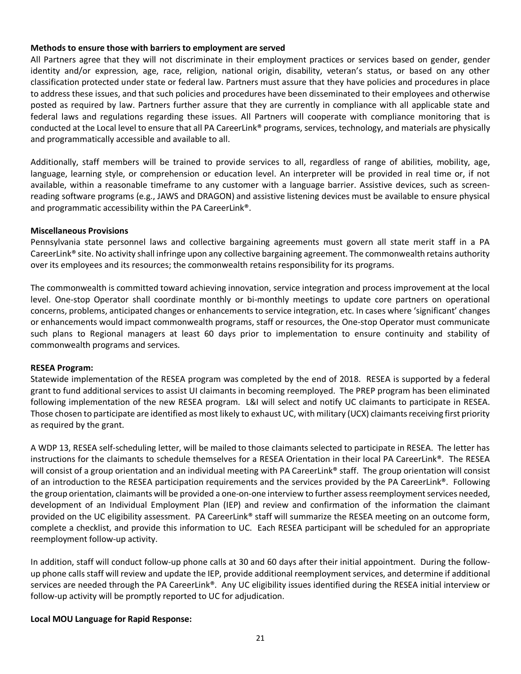#### **Methods to ensure those with barriers to employment are served**

All Partners agree that they will not discriminate in their employment practices or services based on gender, gender identity and/or expression, age, race, religion, national origin, disability, veteran's status, or based on any other classification protected under state or federal law. Partners must assure that they have policies and procedures in place to address these issues, and that such policies and procedures have been disseminated to their employees and otherwise posted as required by law. Partners further assure that they are currently in compliance with all applicable state and federal laws and regulations regarding these issues. All Partners will cooperate with compliance monitoring that is conducted at the Local level to ensure that all PA CareerLink® programs, services, technology, and materials are physically and programmatically accessible and available to all.

Additionally, staff members will be trained to provide services to all, regardless of range of abilities, mobility, age, language, learning style, or comprehension or education level. An interpreter will be provided in real time or, if not available, within a reasonable timeframe to any customer with a language barrier. Assistive devices, such as screenreading software programs (e.g., JAWS and DRAGON) and assistive listening devices must be available to ensure physical and programmatic accessibility within the PA CareerLink®.

#### **Miscellaneous Provisions**

Pennsylvania state personnel laws and collective bargaining agreements must govern all state merit staff in a PA CareerLink® site. No activity shall infringe upon any collective bargaining agreement. The commonwealth retains authority over its employees and its resources; the commonwealth retains responsibility for its programs.

The commonwealth is committed toward achieving innovation, service integration and process improvement at the local level. One-stop Operator shall coordinate monthly or bi-monthly meetings to update core partners on operational concerns, problems, anticipated changes or enhancements to service integration, etc. In cases where 'significant' changes or enhancements would impact commonwealth programs, staff or resources, the One-stop Operator must communicate such plans to Regional managers at least 60 days prior to implementation to ensure continuity and stability of commonwealth programs and services.

#### **RESEA Program:**

Statewide implementation of the RESEA program was completed by the end of 2018. RESEA is supported by a federal grant to fund additional services to assist UI claimants in becoming reemployed. The PREP program has been eliminated following implementation of the new RESEA program. L&I will select and notify UC claimants to participate in RESEA. Those chosen to participate are identified as most likely to exhaust UC, with military (UCX) claimants receiving first priority as required by the grant.

A WDP 13, RESEA self-scheduling letter, will be mailed to those claimants selected to participate in RESEA. The letter has instructions for the claimants to schedule themselves for a RESEA Orientation in their local PA CareerLink®. The RESEA will consist of a group orientation and an individual meeting with PA CareerLink® staff. The group orientation will consist of an introduction to the RESEA participation requirements and the services provided by the PA CareerLink®. Following the group orientation, claimants will be provided a one-on-one interview to further assess reemployment services needed, development of an Individual Employment Plan (IEP) and review and confirmation of the information the claimant provided on the UC eligibility assessment. PA CareerLink<sup>®</sup> staff will summarize the RESEA meeting on an outcome form, complete a checklist, and provide this information to UC. Each RESEA participant will be scheduled for an appropriate reemployment follow-up activity.

In addition, staff will conduct follow-up phone calls at 30 and 60 days after their initial appointment. During the followup phone calls staff will review and update the IEP, provide additional reemployment services, and determine if additional services are needed through the PA CareerLink®. Any UC eligibility issues identified during the RESEA initial interview or follow-up activity will be promptly reported to UC for adjudication.

#### **Local MOU Language for Rapid Response:**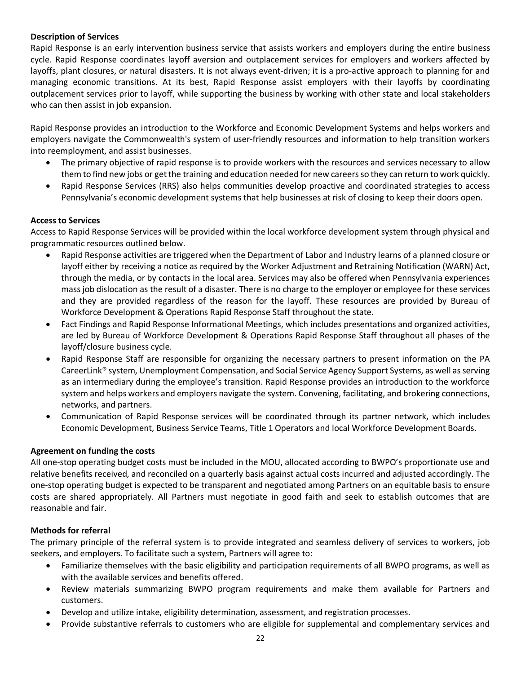#### **Description of Services**

Rapid Response is an early intervention business service that assists workers and employers during the entire business cycle. Rapid Response coordinates layoff aversion and outplacement services for employers and workers affected by layoffs, plant closures, or natural disasters. It is not always event-driven; it is a pro-active approach to planning for and managing economic transitions. At its best, Rapid Response assist employers with their layoffs by coordinating outplacement services prior to layoff, while supporting the business by working with other state and local stakeholders who can then assist in job expansion.

Rapid Response provides an introduction to the Workforce and Economic Development Systems and helps workers and employers navigate the Commonwealth's system of user-friendly resources and information to help transition workers into reemployment, and assist businesses.

- The primary objective of rapid response is to provide workers with the resources and services necessary to allow them to find new jobs or get the training and education needed for new careers so they can return to work quickly.
- Rapid Response Services (RRS) also helps communities develop proactive and coordinated strategies to access Pennsylvania's economic development systems that help businesses at risk of closing to keep their doors open.

#### **Access to Services**

Access to Rapid Response Services will be provided within the local workforce development system through physical and programmatic resources outlined below.

- Rapid Response activities are triggered when the Department of Labor and Industry learns of a planned closure or layoff either by receiving a notice as required by the Worker Adjustment and Retraining Notification (WARN) Act, through the media, or by contacts in the local area. Services may also be offered when Pennsylvania experiences mass job dislocation as the result of a disaster. There is no charge to the employer or employee for these services and they are provided regardless of the reason for the layoff. These resources are provided by Bureau of Workforce Development & Operations Rapid Response Staff throughout the state.
- Fact Findings and Rapid Response Informational Meetings, which includes presentations and organized activities, are led by Bureau of Workforce Development & Operations Rapid Response Staff throughout all phases of the layoff/closure business cycle.
- Rapid Response Staff are responsible for organizing the necessary partners to present information on the PA CareerLink® system, Unemployment Compensation, and Social Service Agency Support Systems, as well as serving as an intermediary during the employee's transition. Rapid Response provides an introduction to the workforce system and helps workers and employers navigate the system. Convening, facilitating, and brokering connections, networks, and partners.
- Communication of Rapid Response services will be coordinated through its partner network, which includes Economic Development, Business Service Teams, Title 1 Operators and local Workforce Development Boards.

#### **Agreement on funding the costs**

All one-stop operating budget costs must be included in the MOU, allocated according to BWPO's proportionate use and relative benefits received, and reconciled on a quarterly basis against actual costs incurred and adjusted accordingly. The one-stop operating budget is expected to be transparent and negotiated among Partners on an equitable basis to ensure costs are shared appropriately. All Partners must negotiate in good faith and seek to establish outcomes that are reasonable and fair.

#### **Methods for referral**

The primary principle of the referral system is to provide integrated and seamless delivery of services to workers, job seekers, and employers. To facilitate such a system, Partners will agree to:

- Familiarize themselves with the basic eligibility and participation requirements of all BWPO programs, as well as with the available services and benefits offered.
- Review materials summarizing BWPO program requirements and make them available for Partners and customers.
- Develop and utilize intake, eligibility determination, assessment, and registration processes.
- Provide substantive referrals to customers who are eligible for supplemental and complementary services and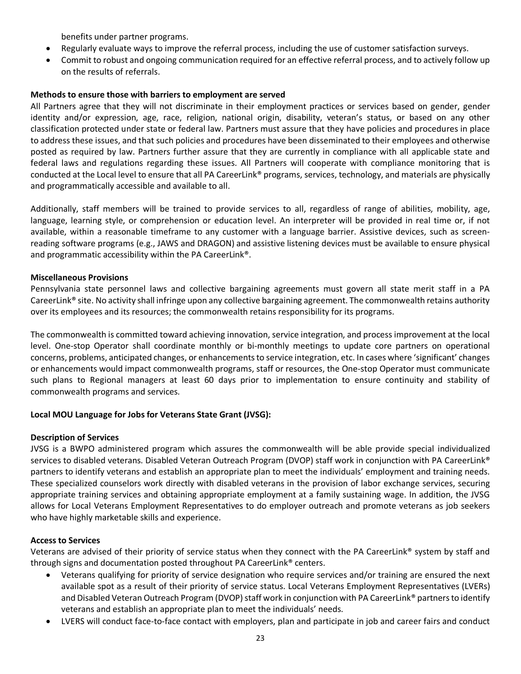benefits under partner programs.

- Regularly evaluate ways to improve the referral process, including the use of customer satisfaction surveys.
- Commit to robust and ongoing communication required for an effective referral process, and to actively follow up on the results of referrals.

#### **Methods to ensure those with barriers to employment are served**

All Partners agree that they will not discriminate in their employment practices or services based on gender, gender identity and/or expression, age, race, religion, national origin, disability, veteran's status, or based on any other classification protected under state or federal law. Partners must assure that they have policies and procedures in place to address these issues, and that such policies and procedures have been disseminated to their employees and otherwise posted as required by law. Partners further assure that they are currently in compliance with all applicable state and federal laws and regulations regarding these issues. All Partners will cooperate with compliance monitoring that is conducted at the Local level to ensure that all PA CareerLink® programs, services, technology, and materials are physically and programmatically accessible and available to all.

Additionally, staff members will be trained to provide services to all, regardless of range of abilities, mobility, age, language, learning style, or comprehension or education level. An interpreter will be provided in real time or, if not available, within a reasonable timeframe to any customer with a language barrier. Assistive devices, such as screenreading software programs (e.g., JAWS and DRAGON) and assistive listening devices must be available to ensure physical and programmatic accessibility within the PA CareerLink®.

#### **Miscellaneous Provisions**

Pennsylvania state personnel laws and collective bargaining agreements must govern all state merit staff in a PA CareerLink<sup>®</sup> site. No activity shall infringe upon any collective bargaining agreement. The commonwealth retains authority over its employees and its resources; the commonwealth retains responsibility for its programs.

The commonwealth is committed toward achieving innovation, service integration, and process improvement at the local level. One-stop Operator shall coordinate monthly or bi-monthly meetings to update core partners on operational concerns, problems, anticipated changes, or enhancements to service integration, etc. In cases where 'significant' changes or enhancements would impact commonwealth programs, staff or resources, the One-stop Operator must communicate such plans to Regional managers at least 60 days prior to implementation to ensure continuity and stability of commonwealth programs and services.

#### **Local MOU Language for Jobs for Veterans State Grant (JVSG):**

#### **Description of Services**

JVSG is a BWPO administered program which assures the commonwealth will be able provide special individualized services to disabled veterans. Disabled Veteran Outreach Program (DVOP) staff work in conjunction with PA CareerLink® partners to identify veterans and establish an appropriate plan to meet the individuals' employment and training needs. These specialized counselors work directly with disabled veterans in the provision of labor exchange services, securing appropriate training services and obtaining appropriate employment at a family sustaining wage. In addition, the JVSG allows for Local Veterans Employment Representatives to do employer outreach and promote veterans as job seekers who have highly marketable skills and experience.

#### **Access to Services**

Veterans are advised of their priority of service status when they connect with the PA CareerLink® system by staff and through signs and documentation posted throughout PA CareerLink® centers.

- Veterans qualifying for priority of service designation who require services and/or training are ensured the next available spot as a result of their priority of service status. Local Veterans Employment Representatives (LVERs) and Disabled Veteran Outreach Program (DVOP) staff work in conjunction with PA CareerLink® partners to identify veterans and establish an appropriate plan to meet the individuals' needs.
- LVERS will conduct face-to-face contact with employers, plan and participate in job and career fairs and conduct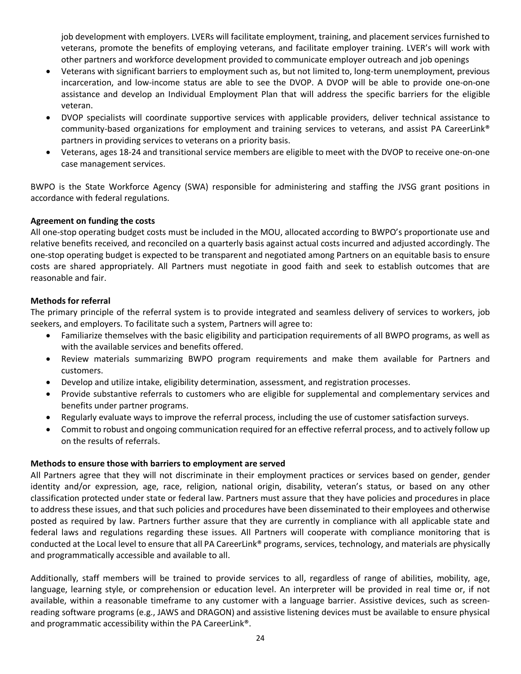job development with employers. LVERs will facilitate employment, training, and placement services furnished to veterans, promote the benefits of employing veterans, and facilitate employer training. LVER's will work with other partners and workforce development provided to communicate employer outreach and job openings

- Veterans with significant barriers to employment such as, but not limited to, long-term unemployment, previous incarceration, and low-income status are able to see the DVOP. A DVOP will be able to provide one-on-one assistance and develop an Individual Employment Plan that will address the specific barriers for the eligible veteran.
- DVOP specialists will coordinate supportive services with applicable providers, deliver technical assistance to community-based organizations for employment and training services to veterans, and assist PA CareerLink® partners in providing services to veterans on a priority basis.
- Veterans, ages 18-24 and transitional service members are eligible to meet with the DVOP to receive one-on-one case management services.

BWPO is the State Workforce Agency (SWA) responsible for administering and staffing the JVSG grant positions in accordance with federal regulations.

#### **Agreement on funding the costs**

All one-stop operating budget costs must be included in the MOU, allocated according to BWPO's proportionate use and relative benefits received, and reconciled on a quarterly basis against actual costs incurred and adjusted accordingly. The one-stop operating budget is expected to be transparent and negotiated among Partners on an equitable basis to ensure costs are shared appropriately. All Partners must negotiate in good faith and seek to establish outcomes that are reasonable and fair.

#### **Methods for referral**

The primary principle of the referral system is to provide integrated and seamless delivery of services to workers, job seekers, and employers. To facilitate such a system, Partners will agree to:

- Familiarize themselves with the basic eligibility and participation requirements of all BWPO programs, as well as with the available services and benefits offered.
- Review materials summarizing BWPO program requirements and make them available for Partners and customers.
- Develop and utilize intake, eligibility determination, assessment, and registration processes.
- Provide substantive referrals to customers who are eligible for supplemental and complementary services and benefits under partner programs.
- Regularly evaluate ways to improve the referral process, including the use of customer satisfaction surveys.
- Commit to robust and ongoing communication required for an effective referral process, and to actively follow up on the results of referrals.

#### **Methods to ensure those with barriers to employment are served**

All Partners agree that they will not discriminate in their employment practices or services based on gender, gender identity and/or expression, age, race, religion, national origin, disability, veteran's status, or based on any other classification protected under state or federal law. Partners must assure that they have policies and procedures in place to address these issues, and that such policies and procedures have been disseminated to their employees and otherwise posted as required by law. Partners further assure that they are currently in compliance with all applicable state and federal laws and regulations regarding these issues. All Partners will cooperate with compliance monitoring that is conducted at the Local level to ensure that all PA CareerLink® programs, services, technology, and materials are physically and programmatically accessible and available to all.

Additionally, staff members will be trained to provide services to all, regardless of range of abilities, mobility, age, language, learning style, or comprehension or education level. An interpreter will be provided in real time or, if not available, within a reasonable timeframe to any customer with a language barrier. Assistive devices, such as screenreading software programs (e.g., JAWS and DRAGON) and assistive listening devices must be available to ensure physical and programmatic accessibility within the PA CareerLink®.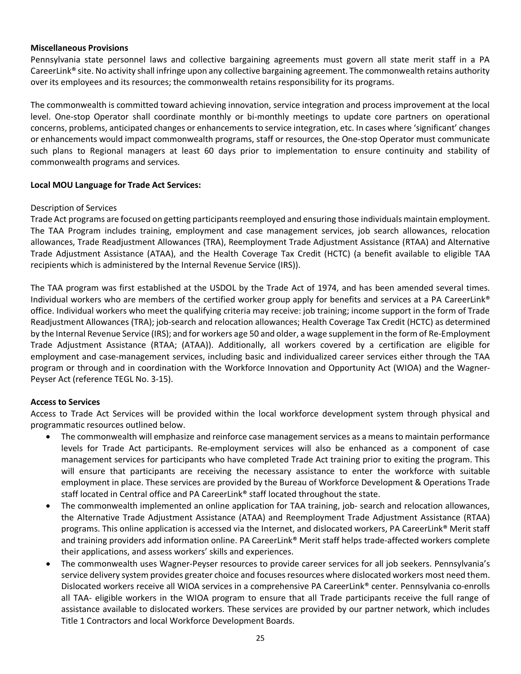#### **Miscellaneous Provisions**

Pennsylvania state personnel laws and collective bargaining agreements must govern all state merit staff in a PA CareerLink® site. No activity shall infringe upon any collective bargaining agreement. The commonwealth retains authority over its employees and its resources; the commonwealth retains responsibility for its programs.

The commonwealth is committed toward achieving innovation, service integration and process improvement at the local level. One-stop Operator shall coordinate monthly or bi-monthly meetings to update core partners on operational concerns, problems, anticipated changes or enhancements to service integration, etc. In cases where 'significant' changes or enhancements would impact commonwealth programs, staff or resources, the One-stop Operator must communicate such plans to Regional managers at least 60 days prior to implementation to ensure continuity and stability of commonwealth programs and services.

#### **Local MOU Language for Trade Act Services:**

#### Description of Services

Trade Act programs are focused on getting participants reemployed and ensuring those individuals maintain employment. The TAA Program includes training, employment and case management services, job search allowances, relocation allowances, Trade Readjustment Allowances (TRA), Reemployment Trade Adjustment Assistance (RTAA) and Alternative Trade Adjustment Assistance (ATAA), and the Health Coverage Tax Credit (HCTC) (a benefit available to eligible TAA recipients which is administered by the Internal Revenue Service (IRS)).

The TAA program was first established at the USDOL by the Trade Act of 1974, and has been amended several times. Individual workers who are members of the certified worker group apply for benefits and services at a PA CareerLink® office. Individual workers who meet the qualifying criteria may receive: job training; income support in the form of Trade Readjustment Allowances (TRA); job-search and relocation allowances; Health Coverage Tax Credit (HCTC) as determined by the Internal Revenue Service (IRS); and for workers age 50 and older, a wage supplement in the form of Re-Employment Trade Adjustment Assistance (RTAA; (ATAA)). Additionally, all workers covered by a certification are eligible for employment and case-management services, including basic and individualized career services either through the TAA program or through and in coordination with the Workforce Innovation and Opportunity Act (WIOA) and the Wagner-Peyser Act (reference TEGL No. 3-15).

#### **Access to Services**

Access to Trade Act Services will be provided within the local workforce development system through physical and programmatic resources outlined below.

- The commonwealth will emphasize and reinforce case management services as a means to maintain performance levels for Trade Act participants. Re-employment services will also be enhanced as a component of case management services for participants who have completed Trade Act training prior to exiting the program. This will ensure that participants are receiving the necessary assistance to enter the workforce with suitable employment in place. These services are provided by the Bureau of Workforce Development & Operations Trade staff located in Central office and PA CareerLink® staff located throughout the state.
- The commonwealth implemented an online application for TAA training, job- search and relocation allowances, the Alternative Trade Adjustment Assistance (ATAA) and Reemployment Trade Adjustment Assistance (RTAA) programs. This online application is accessed via the Internet, and dislocated workers, PA CareerLink® Merit staff and training providers add information online. PA CareerLink® Merit staff helps trade-affected workers complete their applications, and assess workers' skills and experiences.
- The commonwealth uses Wagner-Peyser resources to provide career services for all job seekers. Pennsylvania's service delivery system provides greater choice and focuses resources where dislocated workers most need them. Dislocated workers receive all WIOA services in a comprehensive PA CareerLink® center. Pennsylvania co-enrolls all TAA- eligible workers in the WIOA program to ensure that all Trade participants receive the full range of assistance available to dislocated workers. These services are provided by our partner network, which includes Title 1 Contractors and local Workforce Development Boards.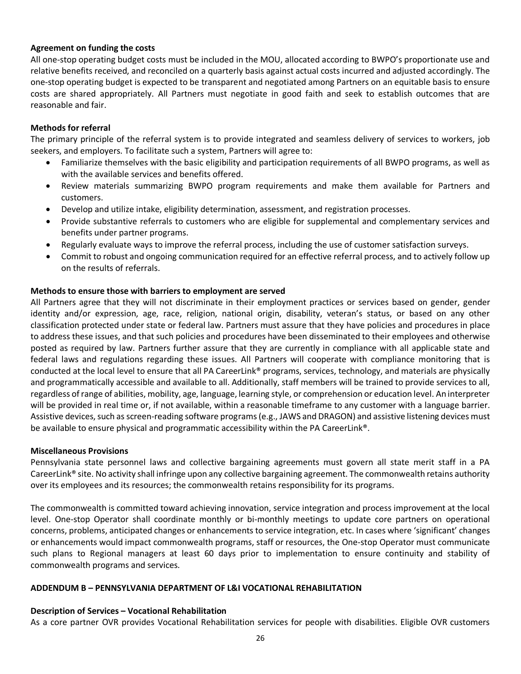#### **Agreement on funding the costs**

All one-stop operating budget costs must be included in the MOU, allocated according to BWPO's proportionate use and relative benefits received, and reconciled on a quarterly basis against actual costs incurred and adjusted accordingly. The one-stop operating budget is expected to be transparent and negotiated among Partners on an equitable basis to ensure costs are shared appropriately. All Partners must negotiate in good faith and seek to establish outcomes that are reasonable and fair.

#### **Methods for referral**

The primary principle of the referral system is to provide integrated and seamless delivery of services to workers, job seekers, and employers. To facilitate such a system, Partners will agree to:

- Familiarize themselves with the basic eligibility and participation requirements of all BWPO programs, as well as with the available services and benefits offered.
- Review materials summarizing BWPO program requirements and make them available for Partners and customers.
- Develop and utilize intake, eligibility determination, assessment, and registration processes.
- Provide substantive referrals to customers who are eligible for supplemental and complementary services and benefits under partner programs.
- Regularly evaluate ways to improve the referral process, including the use of customer satisfaction surveys.
- Commit to robust and ongoing communication required for an effective referral process, and to actively follow up on the results of referrals.

#### **Methods to ensure those with barriers to employment are served**

All Partners agree that they will not discriminate in their employment practices or services based on gender, gender identity and/or expression, age, race, religion, national origin, disability, veteran's status, or based on any other classification protected under state or federal law. Partners must assure that they have policies and procedures in place to address these issues, and that such policies and procedures have been disseminated to their employees and otherwise posted as required by law. Partners further assure that they are currently in compliance with all applicable state and federal laws and regulations regarding these issues. All Partners will cooperate with compliance monitoring that is conducted at the local level to ensure that all PA CareerLink® programs, services, technology, and materials are physically and programmatically accessible and available to all. Additionally, staff members will be trained to provide services to all, regardless of range of abilities, mobility, age, language, learning style, or comprehension or education level. An interpreter will be provided in real time or, if not available, within a reasonable timeframe to any customer with a language barrier. Assistive devices, such as screen-reading software programs (e.g., JAWS and DRAGON) and assistive listening devices must be available to ensure physical and programmatic accessibility within the PA CareerLink®.

#### **Miscellaneous Provisions**

Pennsylvania state personnel laws and collective bargaining agreements must govern all state merit staff in a PA CareerLink® site. No activity shall infringe upon any collective bargaining agreement. The commonwealth retains authority over its employees and its resources; the commonwealth retains responsibility for its programs.

The commonwealth is committed toward achieving innovation, service integration and process improvement at the local level. One-stop Operator shall coordinate monthly or bi-monthly meetings to update core partners on operational concerns, problems, anticipated changes or enhancements to service integration, etc. In cases where 'significant' changes or enhancements would impact commonwealth programs, staff or resources, the One-stop Operator must communicate such plans to Regional managers at least 60 days prior to implementation to ensure continuity and stability of commonwealth programs and services.

#### <span id="page-25-0"></span>**ADDENDUM B – PENNSYLVANIA DEPARTMENT OF L&I VOCATIONAL REHABILITATION**

#### **Description of Services – Vocational Rehabilitation**

As a core partner OVR provides Vocational Rehabilitation services for people with disabilities. Eligible OVR customers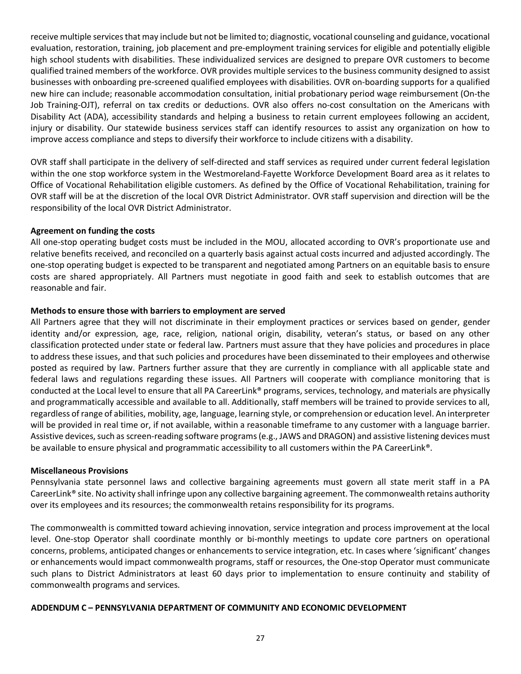receive multiple services that may include but not be limited to; diagnostic, vocational counseling and guidance, vocational evaluation, restoration, training, job placement and pre-employment training services for eligible and potentially eligible high school students with disabilities. These individualized services are designed to prepare OVR customers to become qualified trained members of the workforce. OVR provides multiple services to the business community designed to assist businesses with onboarding pre-screened qualified employees with disabilities. OVR on-boarding supports for a qualified new hire can include; reasonable accommodation consultation, initial probationary period wage reimbursement (On-the Job Training-OJT), referral on tax credits or deductions. OVR also offers no-cost consultation on the Americans with Disability Act (ADA), accessibility standards and helping a business to retain current employees following an accident, injury or disability. Our statewide business services staff can identify resources to assist any organization on how to improve access compliance and steps to diversify their workforce to include citizens with a disability.

OVR staff shall participate in the delivery of self-directed and staff services as required under current federal legislation within the one stop workforce system in the Westmoreland-Fayette Workforce Development Board area as it relates to Office of Vocational Rehabilitation eligible customers. As defined by the Office of Vocational Rehabilitation, training for OVR staff will be at the discretion of the local OVR District Administrator. OVR staff supervision and direction will be the responsibility of the local OVR District Administrator.

#### **Agreement on funding the costs**

All one-stop operating budget costs must be included in the MOU, allocated according to OVR's proportionate use and relative benefits received, and reconciled on a quarterly basis against actual costs incurred and adjusted accordingly. The one-stop operating budget is expected to be transparent and negotiated among Partners on an equitable basis to ensure costs are shared appropriately. All Partners must negotiate in good faith and seek to establish outcomes that are reasonable and fair.

#### **Methods to ensure those with barriers to employment are served**

All Partners agree that they will not discriminate in their employment practices or services based on gender, gender identity and/or expression, age, race, religion, national origin, disability, veteran's status, or based on any other classification protected under state or federal law. Partners must assure that they have policies and procedures in place to address these issues, and that such policies and procedures have been disseminated to their employees and otherwise posted as required by law. Partners further assure that they are currently in compliance with all applicable state and federal laws and regulations regarding these issues. All Partners will cooperate with compliance monitoring that is conducted at the Local level to ensure that all PA CareerLink® programs, services, technology, and materials are physically and programmatically accessible and available to all. Additionally, staff members will be trained to provide services to all, regardless of range of abilities, mobility, age, language, learning style, or comprehension or education level. An interpreter will be provided in real time or, if not available, within a reasonable timeframe to any customer with a language barrier. Assistive devices, such as screen-reading software programs (e.g., JAWS and DRAGON) and assistive listening devices must be available to ensure physical and programmatic accessibility to all customers within the PA CareerLink®.

#### **Miscellaneous Provisions**

Pennsylvania state personnel laws and collective bargaining agreements must govern all state merit staff in a PA CareerLink® site. No activity shall infringe upon any collective bargaining agreement. The commonwealth retains authority over its employees and its resources; the commonwealth retains responsibility for its programs.

The commonwealth is committed toward achieving innovation, service integration and process improvement at the local level. One-stop Operator shall coordinate monthly or bi-monthly meetings to update core partners on operational concerns, problems, anticipated changes or enhancements to service integration, etc. In cases where 'significant' changes or enhancements would impact commonwealth programs, staff or resources, the One-stop Operator must communicate such plans to District Administrators at least 60 days prior to implementation to ensure continuity and stability of commonwealth programs and services.

#### <span id="page-26-0"></span>**ADDENDUM C – PENNSYLVANIA DEPARTMENT OF COMMUNITY AND ECONOMIC DEVELOPMENT**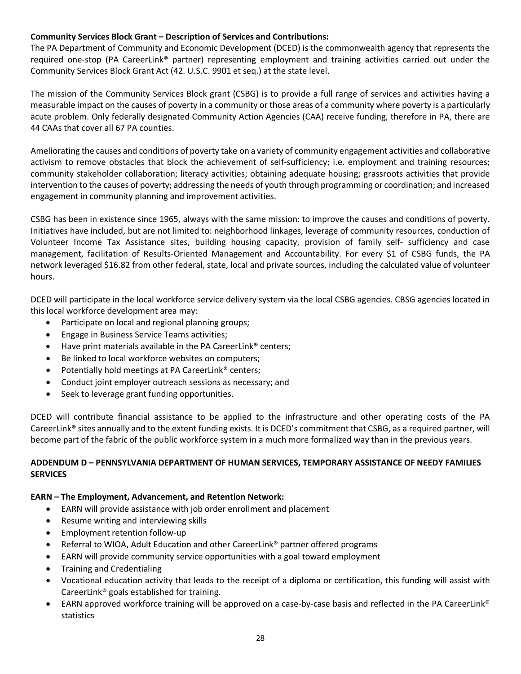#### **Community Services Block Grant – Description of Services and Contributions:**

The PA Department of Community and Economic Development (DCED) is the commonwealth agency that represents the required one-stop (PA CareerLink® partner) representing employment and training activities carried out under the Community Services Block Grant Act (42. U.S.C. 9901 et seq.) at the state level.

The mission of the Community Services Block grant (CSBG) is to provide a full range of services and activities having a measurable impact on the causes of poverty in a community or those areas of a community where poverty is a particularly acute problem. Only federally designated Community Action Agencies (CAA) receive funding, therefore in PA, there are 44 CAAs that cover all 67 PA counties.

Ameliorating the causes and conditions of poverty take on a variety of community engagement activities and collaborative activism to remove obstacles that block the achievement of self-sufficiency; i.e. employment and training resources; community stakeholder collaboration; literacy activities; obtaining adequate housing; grassroots activities that provide intervention to the causes of poverty; addressing the needs of youth through programming or coordination; and increased engagement in community planning and improvement activities.

CSBG has been in existence since 1965, always with the same mission: to improve the causes and conditions of poverty. Initiatives have included, but are not limited to: neighborhood linkages, leverage of community resources, conduction of Volunteer Income Tax Assistance sites, building housing capacity, provision of family self- sufficiency and case management, facilitation of Results-Oriented Management and Accountability. For every \$1 of CSBG funds, the PA network leveraged \$16.82 from other federal, state, local and private sources, including the calculated value of volunteer hours.

DCED will participate in the local workforce service delivery system via the local CSBG agencies. CBSG agencies located in this local workforce development area may:

- Participate on local and regional planning groups;
- Engage in Business Service Teams activities;
- Have print materials available in the PA CareerLink® centers;
- Be linked to local workforce websites on computers;
- Potentially hold meetings at PA CareerLink® centers;
- Conduct joint employer outreach sessions as necessary; and
- Seek to leverage grant funding opportunities.

DCED will contribute financial assistance to be applied to the infrastructure and other operating costs of the PA CareerLink® sites annually and to the extent funding exists. It is DCED's commitment that CSBG, as a required partner, will become part of the fabric of the public workforce system in a much more formalized way than in the previous years.

#### <span id="page-27-0"></span>**ADDENDUM D – PENNSYLVANIA DEPARTMENT OF HUMAN SERVICES, TEMPORARY ASSISTANCE OF NEEDY FAMILIES SERVICES**

#### **EARN – The Employment, Advancement, and Retention Network:**

- EARN will provide assistance with job order enrollment and placement
- Resume writing and interviewing skills
- Employment retention follow-up
- Referral to WIOA, Adult Education and other CareerLink<sup>®</sup> partner offered programs
- EARN will provide community service opportunities with a goal toward employment
- Training and Credentialing
- Vocational education activity that leads to the receipt of a diploma or certification, this funding will assist with CareerLink® goals established for training.
- EARN approved workforce training will be approved on a case-by-case basis and reflected in the PA CareerLink® statistics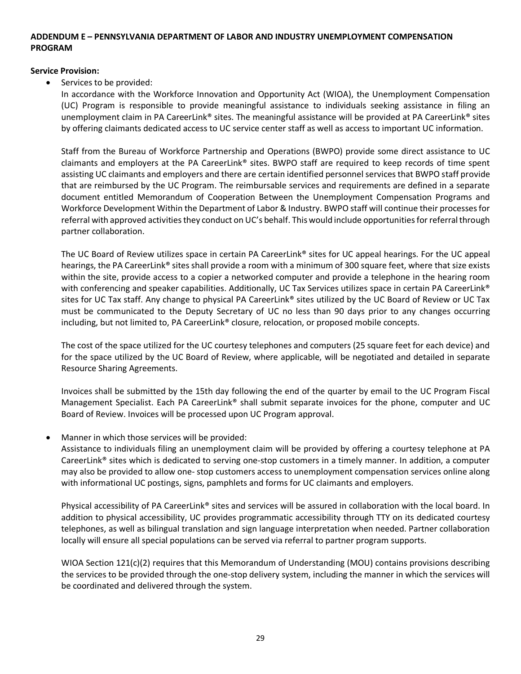#### <span id="page-28-0"></span>**ADDENDUM E – PENNSYLVANIA DEPARTMENT OF LABOR AND INDUSTRY UNEMPLOYMENT COMPENSATION PROGRAM**

#### **Service Provision:**

Services to be provided:

In accordance with the Workforce Innovation and Opportunity Act (WIOA), the Unemployment Compensation (UC) Program is responsible to provide meaningful assistance to individuals seeking assistance in filing an unemployment claim in PA CareerLink® sites. The meaningful assistance will be provided at PA CareerLink® sites by offering claimants dedicated access to UC service center staff as well as access to important UC information.

Staff from the Bureau of Workforce Partnership and Operations (BWPO) provide some direct assistance to UC claimants and employers at the PA CareerLink® sites. BWPO staff are required to keep records of time spent assisting UC claimants and employers and there are certain identified personnel services that BWPO staff provide that are reimbursed by the UC Program. The reimbursable services and requirements are defined in a separate document entitled Memorandum of Cooperation Between the Unemployment Compensation Programs and Workforce Development Within the Department of Labor & Industry. BWPO staff will continue their processes for referral with approved activities they conduct on UC's behalf. This would include opportunities for referral through partner collaboration.

The UC Board of Review utilizes space in certain PA CareerLink® sites for UC appeal hearings. For the UC appeal hearings, the PA CareerLink® sites shall provide a room with a minimum of 300 square feet, where that size exists within the site, provide access to a copier a networked computer and provide a telephone in the hearing room with conferencing and speaker capabilities. Additionally, UC Tax Services utilizes space in certain PA CareerLink<sup>®</sup> sites for UC Tax staff. Any change to physical PA CareerLink® sites utilized by the UC Board of Review or UC Tax must be communicated to the Deputy Secretary of UC no less than 90 days prior to any changes occurring including, but not limited to, PA CareerLink® closure, relocation, or proposed mobile concepts.

The cost of the space utilized for the UC courtesy telephones and computers (25 square feet for each device) and for the space utilized by the UC Board of Review, where applicable, will be negotiated and detailed in separate Resource Sharing Agreements.

Invoices shall be submitted by the 15th day following the end of the quarter by email to the UC Program Fiscal Management Specialist. Each PA CareerLink® shall submit separate invoices for the phone, computer and UC Board of Review. Invoices will be processed upon UC Program approval.

Manner in which those services will be provided:

Assistance to individuals filing an unemployment claim will be provided by offering a courtesy telephone at PA CareerLink® sites which is dedicated to serving one-stop customers in a timely manner. In addition, a computer may also be provided to allow one- stop customers access to unemployment compensation services online along with informational UC postings, signs, pamphlets and forms for UC claimants and employers.

Physical accessibility of PA CareerLink® sites and services will be assured in collaboration with the local board. In addition to physical accessibility, UC provides programmatic accessibility through TTY on its dedicated courtesy telephones, as well as bilingual translation and sign language interpretation when needed. Partner collaboration locally will ensure all special populations can be served via referral to partner program supports.

WIOA Section 121(c)(2) requires that this Memorandum of Understanding (MOU) contains provisions describing the services to be provided through the one-stop delivery system, including the manner in which the services will be coordinated and delivered through the system.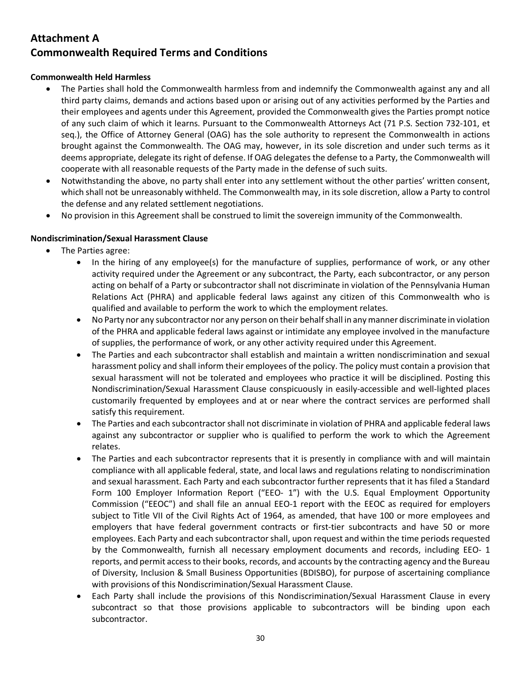## <span id="page-29-1"></span><span id="page-29-0"></span>**Attachment A Commonwealth Required Terms and Conditions**

#### **Commonwealth Held Harmless**

- The Parties shall hold the Commonwealth harmless from and indemnify the Commonwealth against any and all third party claims, demands and actions based upon or arising out of any activities performed by the Parties and their employees and agents under this Agreement, provided the Commonwealth gives the Parties prompt notice of any such claim of which it learns. Pursuant to the Commonwealth Attorneys Act (71 P.S. Section 732-101, et seq.), the Office of Attorney General (OAG) has the sole authority to represent the Commonwealth in actions brought against the Commonwealth. The OAG may, however, in its sole discretion and under such terms as it deems appropriate, delegate its right of defense. If OAG delegates the defense to a Party, the Commonwealth will cooperate with all reasonable requests of the Party made in the defense of such suits.
- Notwithstanding the above, no party shall enter into any settlement without the other parties' written consent, which shall not be unreasonably withheld. The Commonwealth may, in its sole discretion, allow a Party to control the defense and any related settlement negotiations.
- No provision in this Agreement shall be construed to limit the sovereign immunity of the Commonwealth.

#### **Nondiscrimination/Sexual Harassment Clause**

- The Parties agree:
	- In the hiring of any employee(s) for the manufacture of supplies, performance of work, or any other activity required under the Agreement or any subcontract, the Party, each subcontractor, or any person acting on behalf of a Party or subcontractor shall not discriminate in violation of the Pennsylvania Human Relations Act (PHRA) and applicable federal laws against any citizen of this Commonwealth who is qualified and available to perform the work to which the employment relates.
	- No Party nor any subcontractor nor any person on their behalf shall in any manner discriminate in violation of the PHRA and applicable federal laws against or intimidate any employee involved in the manufacture of supplies, the performance of work, or any other activity required under this Agreement.
	- The Parties and each subcontractor shall establish and maintain a written nondiscrimination and sexual harassment policy and shall inform their employees of the policy. The policy must contain a provision that sexual harassment will not be tolerated and employees who practice it will be disciplined. Posting this Nondiscrimination/Sexual Harassment Clause conspicuously in easily-accessible and well-lighted places customarily frequented by employees and at or near where the contract services are performed shall satisfy this requirement.
	- The Parties and each subcontractor shall not discriminate in violation of PHRA and applicable federal laws against any subcontractor or supplier who is qualified to perform the work to which the Agreement relates.
	- The Parties and each subcontractor represents that it is presently in compliance with and will maintain compliance with all applicable federal, state, and local laws and regulations relating to nondiscrimination and sexual harassment. Each Party and each subcontractor further represents that it has filed a Standard Form 100 Employer Information Report ("EEO- 1") with the U.S. Equal Employment Opportunity Commission ("EEOC") and shall file an annual EEO-1 report with the EEOC as required for employers subject to Title VII of the Civil Rights Act of 1964, as amended, that have 100 or more employees and employers that have federal government contracts or first-tier subcontracts and have 50 or more employees. Each Party and each subcontractor shall, upon request and within the time periods requested by the Commonwealth, furnish all necessary employment documents and records, including EEO- 1 reports, and permit access to their books, records, and accounts by the contracting agency and the Bureau of Diversity, Inclusion & Small Business Opportunities (BDISBO), for purpose of ascertaining compliance with provisions of this Nondiscrimination/Sexual Harassment Clause.
	- Each Party shall include the provisions of this Nondiscrimination/Sexual Harassment Clause in every subcontract so that those provisions applicable to subcontractors will be binding upon each subcontractor.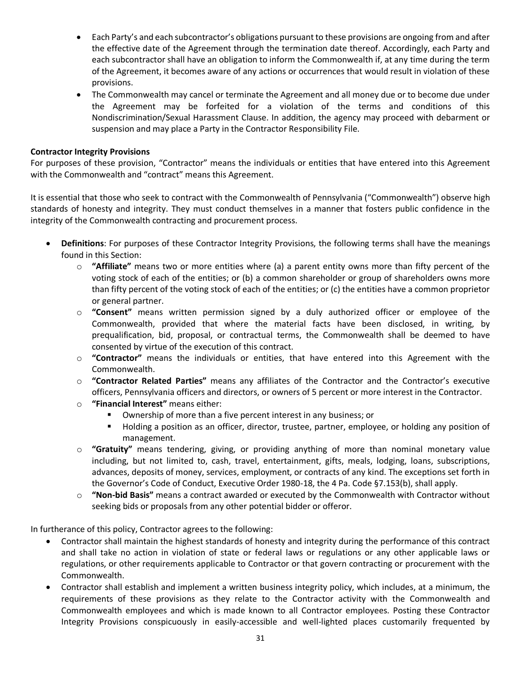- Each Party's and each subcontractor's obligations pursuant to these provisions are ongoing from and after the effective date of the Agreement through the termination date thereof. Accordingly, each Party and each subcontractor shall have an obligation to inform the Commonwealth if, at any time during the term of the Agreement, it becomes aware of any actions or occurrences that would result in violation of these provisions.
- The Commonwealth may cancel or terminate the Agreement and all money due or to become due under the Agreement may be forfeited for a violation of the terms and conditions of this Nondiscrimination/Sexual Harassment Clause. In addition, the agency may proceed with debarment or suspension and may place a Party in the Contractor Responsibility File.

#### **Contractor Integrity Provisions**

For purposes of these provision, "Contractor" means the individuals or entities that have entered into this Agreement with the Commonwealth and "contract" means this Agreement.

It is essential that those who seek to contract with the Commonwealth of Pennsylvania ("Commonwealth") observe high standards of honesty and integrity. They must conduct themselves in a manner that fosters public confidence in the integrity of the Commonwealth contracting and procurement process.

- **Definitions**: For purposes of these Contractor Integrity Provisions, the following terms shall have the meanings found in this Section:
	- o **"Affiliate"** means two or more entities where (a) a parent entity owns more than fifty percent of the voting stock of each of the entities; or (b) a common shareholder or group of shareholders owns more than fifty percent of the voting stock of each of the entities; or (c) the entities have a common proprietor or general partner.
	- o **"Consent"** means written permission signed by a duly authorized officer or employee of the Commonwealth, provided that where the material facts have been disclosed, in writing, by prequalification, bid, proposal, or contractual terms, the Commonwealth shall be deemed to have consented by virtue of the execution of this contract.
	- o **"Contractor"** means the individuals or entities, that have entered into this Agreement with the Commonwealth.
	- o **"Contractor Related Parties"** means any affiliates of the Contractor and the Contractor's executive officers, Pennsylvania officers and directors, or owners of 5 percent or more interest in the Contractor.
	- o **"Financial Interest"** means either:
		- Ownership of more than a five percent interest in any business; or
		- Holding a position as an officer, director, trustee, partner, employee, or holding any position of management.
	- o **"Gratuity"** means tendering, giving, or providing anything of more than nominal monetary value including, but not limited to, cash, travel, entertainment, gifts, meals, lodging, loans, subscriptions, advances, deposits of money, services, employment, or contracts of any kind. The exceptions set forth in the Governor's Code of Conduct, Executive Order 1980-18, the 4 Pa. Code §7.153(b), shall apply.
	- o **"Non-bid Basis"** means a contract awarded or executed by the Commonwealth with Contractor without seeking bids or proposals from any other potential bidder or offeror.

In furtherance of this policy, Contractor agrees to the following:

- Contractor shall maintain the highest standards of honesty and integrity during the performance of this contract and shall take no action in violation of state or federal laws or regulations or any other applicable laws or regulations, or other requirements applicable to Contractor or that govern contracting or procurement with the Commonwealth.
- Contractor shall establish and implement a written business integrity policy, which includes, at a minimum, the requirements of these provisions as they relate to the Contractor activity with the Commonwealth and Commonwealth employees and which is made known to all Contractor employees. Posting these Contractor Integrity Provisions conspicuously in easily-accessible and well-lighted places customarily frequented by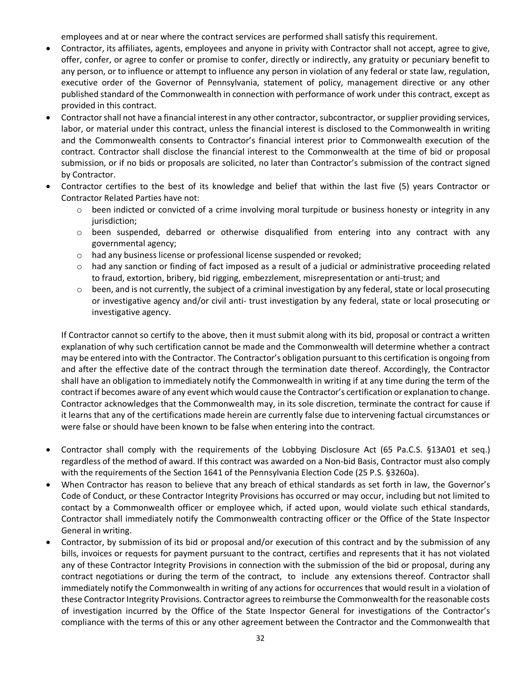employees and at or near where the contract services are performed shall satisfy this requirement.

- Contractor, its affiliates, agents, employees and anyone in privity with Contractor shall not accept, agree to give, offer, confer, or agree to confer or promise to confer, directly or indirectly, any gratuity or pecuniary benefit to any person, or to influence or attempt to influence any person in violation of any federal or state law, regulation, executive order of the Governor of Pennsylvania, statement of policy, management directive or any other published standard of the Commonwealth in connection with performance of work under this contract, except as provided in this contract.
- Contractor shall not have a financial interest in any other contractor, subcontractor, or supplier providing services, labor, or material under this contract, unless the financial interest is disclosed to the Commonwealth in writing and the Commonwealth consents to Contractor's financial interest prior to Commonwealth execution of the contract. Contractor shall disclose the financial interest to the Commonwealth at the time of bid or proposal submission, or if no bids or proposals are solicited, no later than Contractor's submission of the contract signed by Contractor.
- Contractor certifies to the best of its knowledge and belief that within the last five (5) years Contractor or Contractor Related Parties have not:
	- $\circ$  been indicted or convicted of a crime involving moral turpitude or business honesty or integrity in any jurisdiction;
	- o been suspended, debarred or otherwise disqualified from entering into any contract with any governmental agency;
	- o had any business license or professional license suspended or revoked;
	- $\circ$  had any sanction or finding of fact imposed as a result of a judicial or administrative proceeding related to fraud, extortion, bribery, bid rigging, embezzlement, misrepresentation or anti-trust; and
	- $\circ$  been, and is not currently, the subject of a criminal investigation by any federal, state or local prosecuting or investigative agency and/or civil anti- trust investigation by any federal, state or local prosecuting or investigative agency.

If Contractor cannot so certify to the above, then it must submit along with its bid, proposal or contract a written explanation of why such certification cannot be made and the Commonwealth will determine whether a contract may be entered into with the Contractor. The Contractor's obligation pursuant to this certification is ongoing from and after the effective date of the contract through the termination date thereof. Accordingly, the Contractor shall have an obligation to immediately notify the Commonwealth in writing if at any time during the term of the contract if becomes aware of any event which would cause the Contractor's certification or explanation to change. Contractor acknowledges that the Commonwealth may, in its sole discretion, terminate the contract for cause if it learns that any of the certifications made herein are currently false due to intervening factual circumstances or were false or should have been known to be false when entering into the contract.

- Contractor shall comply with the requirements of the Lobbying Disclosure Act (65 Pa.C.S. §13A01 et seq.) regardless of the method of award. If this contract was awarded on a Non-bid Basis, Contractor must also comply with the requirements of the Section 1641 of the Pennsylvania Election Code (25 P.S. §3260a).
- When Contractor has reason to believe that any breach of ethical standards as set forth in law, the Governor's Code of Conduct, or these Contractor Integrity Provisions has occurred or may occur, including but not limited to contact by a Commonwealth officer or employee which, if acted upon, would violate such ethical standards, Contractor shall immediately notify the Commonwealth contracting officer or the Office of the State Inspector General in writing.
- Contractor, by submission of its bid or proposal and/or execution of this contract and by the submission of any bills, invoices or requests for payment pursuant to the contract, certifies and represents that it has not violated any of these Contractor Integrity Provisions in connection with the submission of the bid or proposal, during any contract negotiations or during the term of the contract, to include any extensions thereof. Contractor shall immediately notify the Commonwealth in writing of any actions for occurrences that would result in a violation of these Contractor Integrity Provisions. Contractor agrees to reimburse the Commonwealth for the reasonable costs of investigation incurred by the Office of the State Inspector General for investigations of the Contractor's compliance with the terms of this or any other agreement between the Contractor and the Commonwealth that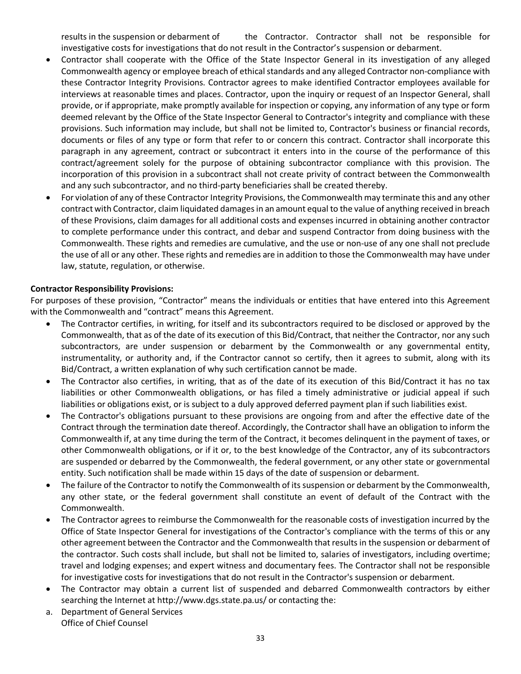results in the suspension or debarment of the Contractor. Contractor shall not be responsible for investigative costs for investigations that do not result in the Contractor's suspension or debarment.

- Contractor shall cooperate with the Office of the State Inspector General in its investigation of any alleged Commonwealth agency or employee breach of ethical standards and any alleged Contractor non-compliance with these Contractor Integrity Provisions. Contractor agrees to make identified Contractor employees available for interviews at reasonable times and places. Contractor, upon the inquiry or request of an Inspector General, shall provide, or if appropriate, make promptly available for inspection or copying, any information of any type or form deemed relevant by the Office of the State Inspector General to Contractor's integrity and compliance with these provisions. Such information may include, but shall not be limited to, Contractor's business or financial records, documents or files of any type or form that refer to or concern this contract. Contractor shall incorporate this paragraph in any agreement, contract or subcontract it enters into in the course of the performance of this contract/agreement solely for the purpose of obtaining subcontractor compliance with this provision. The incorporation of this provision in a subcontract shall not create privity of contract between the Commonwealth and any such subcontractor, and no third-party beneficiaries shall be created thereby.
- For violation of any of these Contractor Integrity Provisions, the Commonwealth may terminate this and any other contract with Contractor, claim liquidated damages in an amount equal to the value of anything received in breach of these Provisions, claim damages for all additional costs and expenses incurred in obtaining another contractor to complete performance under this contract, and debar and suspend Contractor from doing business with the Commonwealth. These rights and remedies are cumulative, and the use or non-use of any one shall not preclude the use of all or any other. These rights and remedies are in addition to those the Commonwealth may have under law, statute, regulation, or otherwise.

#### **Contractor Responsibility Provisions:**

For purposes of these provision, "Contractor" means the individuals or entities that have entered into this Agreement with the Commonwealth and "contract" means this Agreement.

- The Contractor certifies, in writing, for itself and its subcontractors required to be disclosed or approved by the Commonwealth, that as of the date of its execution of this Bid/Contract, that neither the Contractor, nor any such subcontractors, are under suspension or debarment by the Commonwealth or any governmental entity, instrumentality, or authority and, if the Contractor cannot so certify, then it agrees to submit, along with its Bid/Contract, a written explanation of why such certification cannot be made.
- The Contractor also certifies, in writing, that as of the date of its execution of this Bid/Contract it has no tax liabilities or other Commonwealth obligations, or has filed a timely administrative or judicial appeal if such liabilities or obligations exist, or is subject to a duly approved deferred payment plan if such liabilities exist.
- The Contractor's obligations pursuant to these provisions are ongoing from and after the effective date of the Contract through the termination date thereof. Accordingly, the Contractor shall have an obligation to inform the Commonwealth if, at any time during the term of the Contract, it becomes delinquent in the payment of taxes, or other Commonwealth obligations, or if it or, to the best knowledge of the Contractor, any of its subcontractors are suspended or debarred by the Commonwealth, the federal government, or any other state or governmental entity. Such notification shall be made within 15 days of the date of suspension or debarment.
- The failure of the Contractor to notify the Commonwealth of its suspension or debarment by the Commonwealth, any other state, or the federal government shall constitute an event of default of the Contract with the Commonwealth.
- The Contractor agrees to reimburse the Commonwealth for the reasonable costs of investigation incurred by the Office of State Inspector General for investigations of the Contractor's compliance with the terms of this or any other agreement between the Contractor and the Commonwealth that results in the suspension or debarment of the contractor. Such costs shall include, but shall not be limited to, salaries of investigators, including overtime; travel and lodging expenses; and expert witness and documentary fees. The Contractor shall not be responsible for investigative costs for investigations that do not result in the Contractor's suspension or debarment.
- The Contractor may obtain a current list of suspended and debarred Commonwealth contractors by either searching the Internet at http://www.dgs.state.pa.us/ or contacting the:
- a. Department of General Services Office of Chief Counsel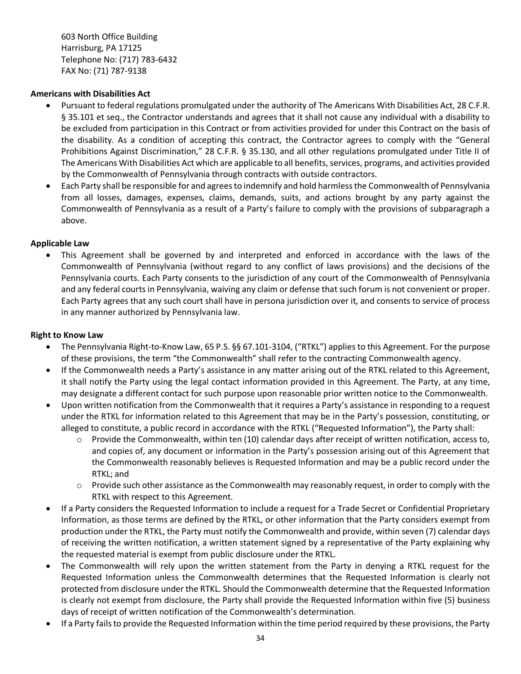603 North Office Building Harrisburg, PA 17125 Telephone No: (717) 783-6432 FAX No: (71) 787-9138

#### **Americans with Disabilities Act**

- Pursuant to federal regulations promulgated under the authority of The Americans With Disabilities Act, 28 C.F.R. § 35.101 et seq., the Contractor understands and agrees that it shall not cause any individual with a disability to be excluded from participation in this Contract or from activities provided for under this Contract on the basis of the disability. As a condition of accepting this contract, the Contractor agrees to comply with the "General Prohibitions Against Discrimination," 28 C.F.R. § 35.130, and all other regulations promulgated under Title II of The Americans With Disabilities Act which are applicable to all benefits, services, programs, and activities provided by the Commonwealth of Pennsylvania through contracts with outside contractors.
- Each Party shall be responsible for and agrees to indemnify and hold harmless the Commonwealth of Pennsylvania from all losses, damages, expenses, claims, demands, suits, and actions brought by any party against the Commonwealth of Pennsylvania as a result of a Party's failure to comply with the provisions of subparagraph a above.

#### **Applicable Law**

• This Agreement shall be governed by and interpreted and enforced in accordance with the laws of the Commonwealth of Pennsylvania (without regard to any conflict of laws provisions) and the decisions of the Pennsylvania courts. Each Party consents to the jurisdiction of any court of the Commonwealth of Pennsylvania and any federal courts in Pennsylvania, waiving any claim or defense that such forum is not convenient or proper. Each Party agrees that any such court shall have in persona jurisdiction over it, and consents to service of process in any manner authorized by Pennsylvania law.

#### **Right to Know Law**

- The Pennsylvania Right-to-Know Law, 65 P.S. §§ 67.101-3104, ("RTKL") applies to this Agreement. For the purpose of these provisions, the term "the Commonwealth" shall refer to the contracting Commonwealth agency.
- If the Commonwealth needs a Party's assistance in any matter arising out of the RTKL related to this Agreement, it shall notify the Party using the legal contact information provided in this Agreement. The Party, at any time, may designate a different contact for such purpose upon reasonable prior written notice to the Commonwealth.
- Upon written notification from the Commonwealth that it requires a Party's assistance in responding to a request under the RTKL for information related to this Agreement that may be in the Party's possession, constituting, or alleged to constitute, a public record in accordance with the RTKL ("Requested Information"), the Party shall:
	- $\circ$  Provide the Commonwealth, within ten (10) calendar days after receipt of written notification, access to, and copies of, any document or information in the Party's possession arising out of this Agreement that the Commonwealth reasonably believes is Requested Information and may be a public record under the RTKL; and
	- $\circ$  Provide such other assistance as the Commonwealth may reasonably request, in order to comply with the RTKL with respect to this Agreement.
- If a Party considers the Requested Information to include a request for a Trade Secret or Confidential Proprietary Information, as those terms are defined by the RTKL, or other information that the Party considers exempt from production under the RTKL, the Party must notify the Commonwealth and provide, within seven (7) calendar days of receiving the written notification, a written statement signed by a representative of the Party explaining why the requested material is exempt from public disclosure under the RTKL.
- The Commonwealth will rely upon the written statement from the Party in denying a RTKL request for the Requested Information unless the Commonwealth determines that the Requested Information is clearly not protected from disclosure under the RTKL. Should the Commonwealth determine that the Requested Information is clearly not exempt from disclosure, the Party shall provide the Requested Information within five (5) business days of receipt of written notification of the Commonwealth's determination.
- If a Party fails to provide the Requested Information within the time period required by these provisions, the Party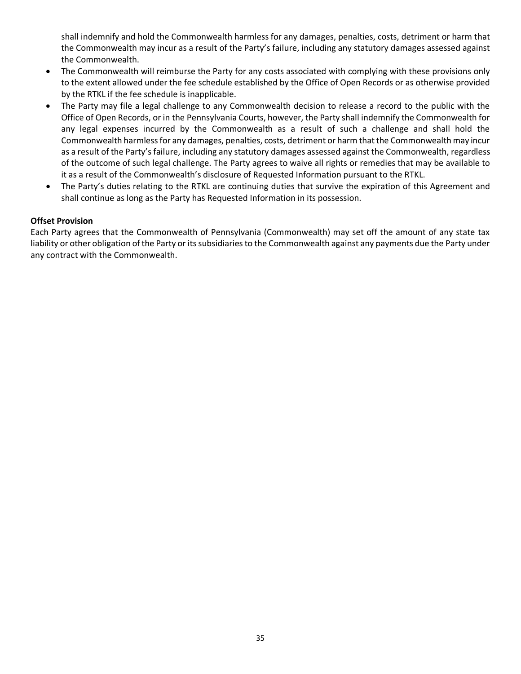shall indemnify and hold the Commonwealth harmless for any damages, penalties, costs, detriment or harm that the Commonwealth may incur as a result of the Party's failure, including any statutory damages assessed against the Commonwealth.

- The Commonwealth will reimburse the Party for any costs associated with complying with these provisions only to the extent allowed under the fee schedule established by the Office of Open Records or as otherwise provided by the RTKL if the fee schedule is inapplicable.
- The Party may file a legal challenge to any Commonwealth decision to release a record to the public with the Office of Open Records, or in the Pennsylvania Courts, however, the Party shall indemnify the Commonwealth for any legal expenses incurred by the Commonwealth as a result of such a challenge and shall hold the Commonwealth harmless for any damages, penalties, costs, detriment or harm that the Commonwealth may incur as a result of the Party's failure, including any statutory damages assessed against the Commonwealth, regardless of the outcome of such legal challenge. The Party agrees to waive all rights or remedies that may be available to it as a result of the Commonwealth's disclosure of Requested Information pursuant to the RTKL.
- The Party's duties relating to the RTKL are continuing duties that survive the expiration of this Agreement and shall continue as long as the Party has Requested Information in its possession.

#### **Offset Provision**

Each Party agrees that the Commonwealth of Pennsylvania (Commonwealth) may set off the amount of any state tax liability or other obligation of the Party or its subsidiaries to the Commonwealth against any payments due the Party under any contract with the Commonwealth.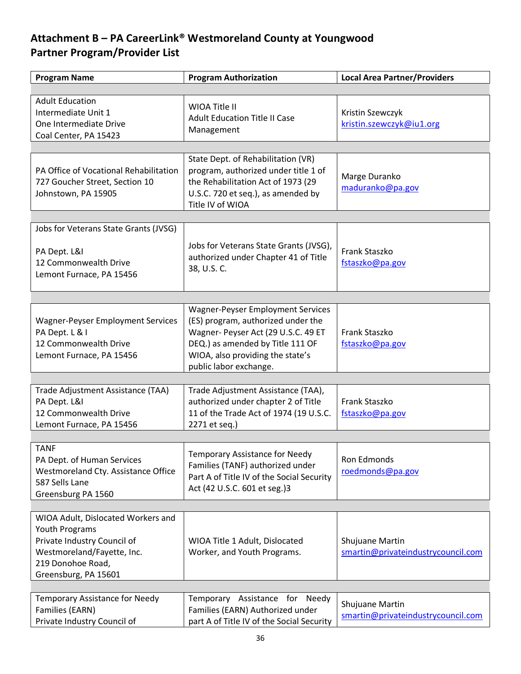# <span id="page-35-1"></span><span id="page-35-0"></span>**Attachment B – PA CareerLink® Westmoreland County at Youngwood Partner Program/Provider List**

| <b>Program Name</b>                                                                                                                                            | <b>Program Authorization</b>                                                                                                                                                                                            | <b>Local Area Partner/Providers</b>                   |
|----------------------------------------------------------------------------------------------------------------------------------------------------------------|-------------------------------------------------------------------------------------------------------------------------------------------------------------------------------------------------------------------------|-------------------------------------------------------|
|                                                                                                                                                                |                                                                                                                                                                                                                         |                                                       |
| <b>Adult Education</b><br>Intermediate Unit 1<br>One Intermediate Drive<br>Coal Center, PA 15423                                                               | WIOA Title II<br><b>Adult Education Title II Case</b><br>Management                                                                                                                                                     | Kristin Szewczyk<br>kristin.szewczyk@iu1.org          |
|                                                                                                                                                                |                                                                                                                                                                                                                         |                                                       |
| PA Office of Vocational Rehabilitation<br>727 Goucher Street, Section 10<br>Johnstown, PA 15905                                                                | State Dept. of Rehabilitation (VR)<br>program, authorized under title 1 of<br>the Rehabilitation Act of 1973 (29<br>U.S.C. 720 et seq.), as amended by<br>Title IV of WIOA                                              | Marge Duranko<br>maduranko@pa.gov                     |
|                                                                                                                                                                |                                                                                                                                                                                                                         |                                                       |
| Jobs for Veterans State Grants (JVSG)<br>PA Dept. L&I<br>12 Commonwealth Drive<br>Lemont Furnace, PA 15456                                                     | Jobs for Veterans State Grants (JVSG),<br>authorized under Chapter 41 of Title<br>38, U.S. C.                                                                                                                           | Frank Staszko<br>fstaszko@pa.gov                      |
|                                                                                                                                                                |                                                                                                                                                                                                                         |                                                       |
| <b>Wagner-Peyser Employment Services</b><br>PA Dept. L & I<br>12 Commonwealth Drive<br>Lemont Furnace, PA 15456                                                | <b>Wagner-Peyser Employment Services</b><br>(ES) program, authorized under the<br>Wagner- Peyser Act (29 U.S.C. 49 ET<br>DEQ.) as amended by Title 111 OF<br>WIOA, also providing the state's<br>public labor exchange. | Frank Staszko<br>fstaszko@pa.gov                      |
|                                                                                                                                                                |                                                                                                                                                                                                                         |                                                       |
| Trade Adjustment Assistance (TAA)<br>PA Dept. L&I<br>12 Commonwealth Drive<br>Lemont Furnace, PA 15456                                                         | Trade Adjustment Assistance (TAA),<br>authorized under chapter 2 of Title<br>11 of the Trade Act of 1974 (19 U.S.C.<br>2271 et seq.)                                                                                    | Frank Staszko<br>fstaszko@pa.gov                      |
|                                                                                                                                                                |                                                                                                                                                                                                                         |                                                       |
| <b>TANF</b><br>PA Dept. of Human Services<br>Westmoreland Cty. Assistance Office<br>587 Sells Lane<br>Greensburg PA 1560                                       | Temporary Assistance for Needy<br>Families (TANF) authorized under<br>Part A of Title IV of the Social Security<br>Act (42 U.S.C. 601 et seg.)3                                                                         | Ron Edmonds<br>roedmonds@pa.gov                       |
|                                                                                                                                                                |                                                                                                                                                                                                                         |                                                       |
| WIOA Adult, Dislocated Workers and<br>Youth Programs<br>Private Industry Council of<br>Westmoreland/Fayette, Inc.<br>219 Donohoe Road,<br>Greensburg, PA 15601 | WIOA Title 1 Adult, Dislocated<br>Worker, and Youth Programs.                                                                                                                                                           | Shujuane Martin<br>smartin@privateindustrycouncil.com |
|                                                                                                                                                                |                                                                                                                                                                                                                         |                                                       |
| <b>Temporary Assistance for Needy</b><br>Families (EARN)<br>Private Industry Council of                                                                        | Assistance for<br>Temporary<br>Needy<br>Families (EARN) Authorized under<br>part A of Title IV of the Social Security                                                                                                   | Shujuane Martin<br>smartin@privateindustrycouncil.com |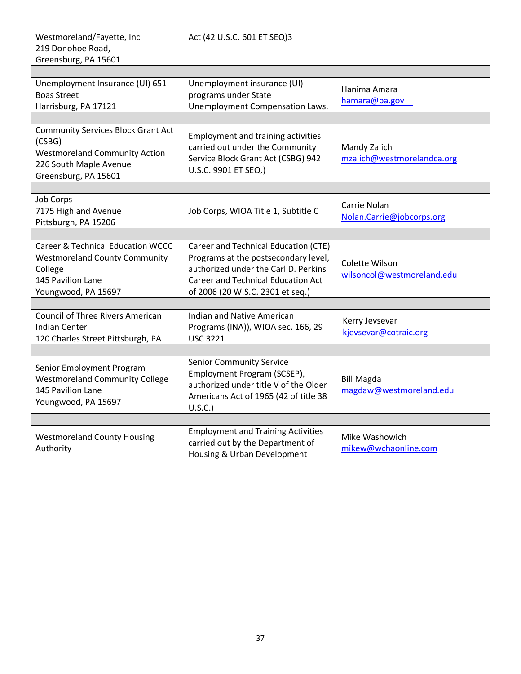| Westmoreland/Fayette, Inc<br>219 Donohoe Road,                                                                                                | Act (42 U.S.C. 601 ET SEQ)3                                                                                                                                                                    |                                              |
|-----------------------------------------------------------------------------------------------------------------------------------------------|------------------------------------------------------------------------------------------------------------------------------------------------------------------------------------------------|----------------------------------------------|
| Greensburg, PA 15601                                                                                                                          |                                                                                                                                                                                                |                                              |
| Unemployment Insurance (UI) 651<br><b>Boas Street</b><br>Harrisburg, PA 17121                                                                 | Unemployment insurance (UI)<br>programs under State<br>Unemployment Compensation Laws.                                                                                                         | Hanima Amara<br>hamara@pa.gov                |
| <b>Community Services Block Grant Act</b><br>(CSBG)<br><b>Westmoreland Community Action</b><br>226 South Maple Avenue<br>Greensburg, PA 15601 | <b>Employment and training activities</b><br>carried out under the Community<br>Service Block Grant Act (CSBG) 942<br>U.S.C. 9901 ET SEQ.)                                                     | Mandy Zalich<br>mzalich@westmorelandca.org   |
|                                                                                                                                               |                                                                                                                                                                                                |                                              |
| <b>Job Corps</b><br>7175 Highland Avenue<br>Pittsburgh, PA 15206                                                                              | Job Corps, WIOA Title 1, Subtitle C                                                                                                                                                            | Carrie Nolan<br>Nolan.Carrie@jobcorps.org    |
|                                                                                                                                               |                                                                                                                                                                                                |                                              |
| <b>Career &amp; Technical Education WCCC</b><br><b>Westmoreland County Community</b><br>College<br>145 Pavilion Lane<br>Youngwood, PA 15697   | Career and Technical Education (CTE)<br>Programs at the postsecondary level,<br>authorized under the Carl D. Perkins<br>Career and Technical Education Act<br>of 2006 (20 W.S.C. 2301 et seq.) | Colette Wilson<br>wilsoncol@westmoreland.edu |
|                                                                                                                                               |                                                                                                                                                                                                |                                              |
| <b>Council of Three Rivers American</b><br><b>Indian Center</b><br>120 Charles Street Pittsburgh, PA                                          | <b>Indian and Native American</b><br>Programs (INA)), WIOA sec. 166, 29<br><b>USC 3221</b>                                                                                                     | Kerry Jevsevar<br>kjevsevar@cotraic.org      |
|                                                                                                                                               |                                                                                                                                                                                                |                                              |
| Senior Employment Program<br><b>Westmoreland Community College</b><br>145 Pavilion Lane<br>Youngwood, PA 15697                                | <b>Senior Community Service</b><br>Employment Program (SCSEP),<br>authorized under title V of the Older<br>Americans Act of 1965 (42 of title 38<br>U.S.C.                                     | <b>Bill Magda</b><br>magdaw@westmoreland.edu |
|                                                                                                                                               |                                                                                                                                                                                                |                                              |
| <b>Westmoreland County Housing</b><br>Authority                                                                                               | <b>Employment and Training Activities</b><br>carried out by the Department of<br>Housing & Urban Development                                                                                   | Mike Washowich<br>mikew@wchaonline.com       |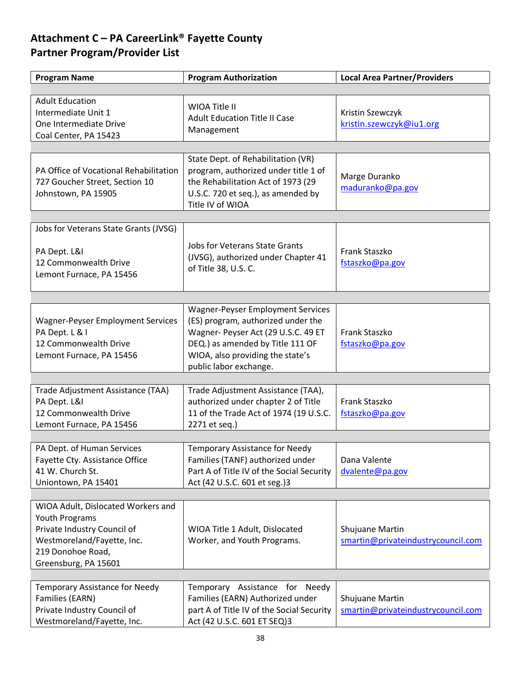# <span id="page-37-1"></span><span id="page-37-0"></span>**Attachment C – PA CareerLink® Fayette County Partner Program/Provider List**

| <b>Program Name</b>                                                                                                                                            | <b>Program Authorization</b>                                                                                                                                                                                            | <b>Local Area Partner/Providers</b>                   |
|----------------------------------------------------------------------------------------------------------------------------------------------------------------|-------------------------------------------------------------------------------------------------------------------------------------------------------------------------------------------------------------------------|-------------------------------------------------------|
|                                                                                                                                                                |                                                                                                                                                                                                                         |                                                       |
| <b>Adult Education</b><br>Intermediate Unit 1<br>One Intermediate Drive<br>Coal Center, PA 15423                                                               | WIOA Title II<br><b>Adult Education Title II Case</b><br>Management                                                                                                                                                     | Kristin Szewczyk<br>kristin.szewczyk@iu1.org          |
|                                                                                                                                                                |                                                                                                                                                                                                                         |                                                       |
| PA Office of Vocational Rehabilitation<br>727 Goucher Street, Section 10<br>Johnstown, PA 15905                                                                | State Dept. of Rehabilitation (VR)<br>program, authorized under title 1 of<br>the Rehabilitation Act of 1973 (29<br>U.S.C. 720 et seq.), as amended by<br>Title IV of WIOA                                              | Marge Duranko<br>maduranko@pa.gov                     |
|                                                                                                                                                                |                                                                                                                                                                                                                         |                                                       |
| Jobs for Veterans State Grants (JVSG)<br>PA Dept. L&I<br>12 Commonwealth Drive<br>Lemont Furnace, PA 15456                                                     | <b>Jobs for Veterans State Grants</b><br>(JVSG), authorized under Chapter 41<br>of Title 38, U.S. C.                                                                                                                    | Frank Staszko<br>fstaszko@pa.gov                      |
|                                                                                                                                                                |                                                                                                                                                                                                                         |                                                       |
| <b>Wagner-Peyser Employment Services</b><br>PA Dept. L & I<br>12 Commonwealth Drive<br>Lemont Furnace, PA 15456                                                | <b>Wagner-Peyser Employment Services</b><br>(ES) program, authorized under the<br>Wagner- Peyser Act (29 U.S.C. 49 ET<br>DEQ.) as amended by Title 111 OF<br>WIOA, also providing the state's<br>public labor exchange. | Frank Staszko<br>fstaszko@pa.gov                      |
|                                                                                                                                                                |                                                                                                                                                                                                                         |                                                       |
| Trade Adjustment Assistance (TAA)<br>PA Dept. L&I<br>12 Commonwealth Drive<br>Lemont Furnace, PA 15456                                                         | Trade Adjustment Assistance (TAA),<br>authorized under chapter 2 of Title<br>11 of the Trade Act of 1974 (19 U.S.C.<br>2271 et seq.)                                                                                    | Frank Staszko<br>fstaszko@pa.gov                      |
|                                                                                                                                                                |                                                                                                                                                                                                                         |                                                       |
| PA Dept. of Human Services<br>Fayette Cty. Assistance Office<br>41 W. Church St.<br>Uniontown, PA 15401                                                        | Temporary Assistance for Needy<br>Families (TANF) authorized under<br>Part A of Title IV of the Social Security<br>Act (42 U.S.C. 601 et seg.)3                                                                         | Dana Valente<br>dvalente@pa.gov                       |
|                                                                                                                                                                |                                                                                                                                                                                                                         |                                                       |
| WIOA Adult, Dislocated Workers and<br>Youth Programs<br>Private Industry Council of<br>Westmoreland/Fayette, Inc.<br>219 Donohoe Road,<br>Greensburg, PA 15601 | WIOA Title 1 Adult, Dislocated<br>Worker, and Youth Programs.                                                                                                                                                           | Shujuane Martin<br>smartin@privateindustrycouncil.com |
|                                                                                                                                                                |                                                                                                                                                                                                                         |                                                       |
| <b>Temporary Assistance for Needy</b><br>Families (EARN)<br>Private Industry Council of<br>Westmoreland/Fayette, Inc.                                          | Temporary Assistance for<br>Needy<br>Families (EARN) Authorized under<br>part A of Title IV of the Social Security<br>Act (42 U.S.C. 601 ET SEQ)3                                                                       | Shujuane Martin<br>smartin@privateindustrycouncil.com |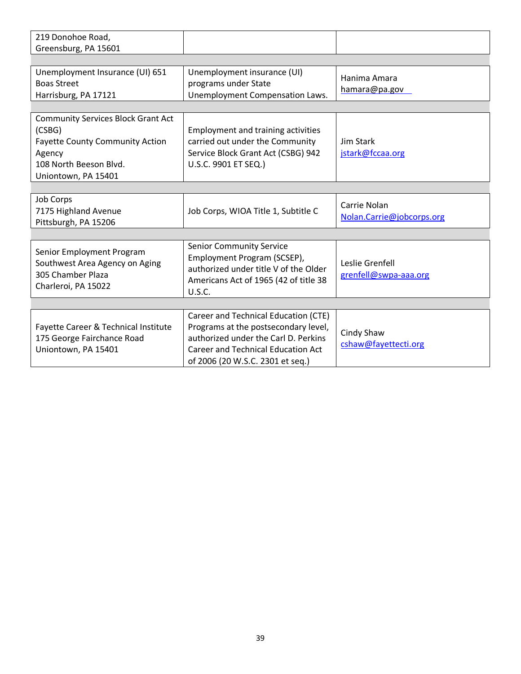| 219 Donohoe Road,<br>Greensburg, PA 15601                                                                                                                |                                                                                                                                                                                                       |                                           |  |  |
|----------------------------------------------------------------------------------------------------------------------------------------------------------|-------------------------------------------------------------------------------------------------------------------------------------------------------------------------------------------------------|-------------------------------------------|--|--|
|                                                                                                                                                          |                                                                                                                                                                                                       |                                           |  |  |
| Unemployment Insurance (UI) 651<br><b>Boas Street</b><br>Harrisburg, PA 17121                                                                            | Unemployment insurance (UI)<br>programs under State<br>Unemployment Compensation Laws.                                                                                                                | Hanima Amara<br>hamara@pa.gov             |  |  |
|                                                                                                                                                          |                                                                                                                                                                                                       |                                           |  |  |
| <b>Community Services Block Grant Act</b><br>(CSBG)<br><b>Fayette County Community Action</b><br>Agency<br>108 North Beeson Blvd.<br>Uniontown, PA 15401 | <b>Employment and training activities</b><br>carried out under the Community<br>Service Block Grant Act (CSBG) 942<br>U.S.C. 9901 ET SEQ.)                                                            | Jim Stark<br>jstark@fccaa.org             |  |  |
|                                                                                                                                                          |                                                                                                                                                                                                       |                                           |  |  |
| <b>Job Corps</b><br>7175 Highland Avenue<br>Pittsburgh, PA 15206                                                                                         | Job Corps, WIOA Title 1, Subtitle C                                                                                                                                                                   | Carrie Nolan<br>Nolan.Carrie@jobcorps.org |  |  |
|                                                                                                                                                          |                                                                                                                                                                                                       |                                           |  |  |
| Senior Employment Program<br>Southwest Area Agency on Aging<br>305 Chamber Plaza<br>Charleroi, PA 15022                                                  | <b>Senior Community Service</b><br>Employment Program (SCSEP),<br>authorized under title V of the Older<br>Americans Act of 1965 (42 of title 38<br>U.S.C.                                            | Leslie Grenfell<br>grenfell@swpa-aaa.org  |  |  |
|                                                                                                                                                          |                                                                                                                                                                                                       |                                           |  |  |
| Fayette Career & Technical Institute<br>175 George Fairchance Road<br>Uniontown, PA 15401                                                                | Career and Technical Education (CTE)<br>Programs at the postsecondary level,<br>authorized under the Carl D. Perkins<br><b>Career and Technical Education Act</b><br>of 2006 (20 W.S.C. 2301 et seq.) | Cindy Shaw<br>cshaw@fayettecti.org        |  |  |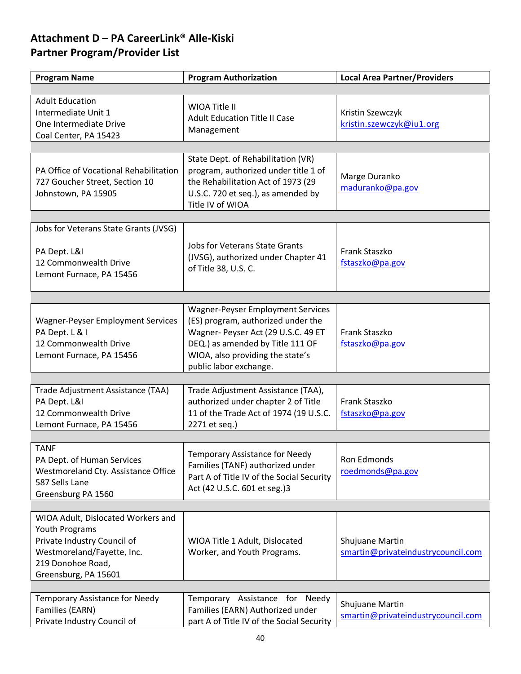# <span id="page-39-1"></span><span id="page-39-0"></span>**Attachment D – PA CareerLink® Alle-Kiski Partner Program/Provider List**

| <b>Program Name</b>                                                                                                                                                   | <b>Program Authorization</b>                                                                                                                                                                                            | <b>Local Area Partner/Providers</b>                   |
|-----------------------------------------------------------------------------------------------------------------------------------------------------------------------|-------------------------------------------------------------------------------------------------------------------------------------------------------------------------------------------------------------------------|-------------------------------------------------------|
|                                                                                                                                                                       |                                                                                                                                                                                                                         |                                                       |
| <b>Adult Education</b><br>Intermediate Unit 1<br>One Intermediate Drive<br>Coal Center, PA 15423                                                                      | WIOA Title II<br><b>Adult Education Title II Case</b><br>Management                                                                                                                                                     | Kristin Szewczyk<br>kristin.szewczyk@iu1.org          |
|                                                                                                                                                                       |                                                                                                                                                                                                                         |                                                       |
| PA Office of Vocational Rehabilitation<br>727 Goucher Street, Section 10<br>Johnstown, PA 15905                                                                       | State Dept. of Rehabilitation (VR)<br>program, authorized under title 1 of<br>the Rehabilitation Act of 1973 (29<br>U.S.C. 720 et seq.), as amended by<br>Title IV of WIOA                                              | Marge Duranko<br>maduranko@pa.gov                     |
|                                                                                                                                                                       |                                                                                                                                                                                                                         |                                                       |
| Jobs for Veterans State Grants (JVSG)<br>PA Dept. L&I<br>12 Commonwealth Drive<br>Lemont Furnace, PA 15456                                                            | <b>Jobs for Veterans State Grants</b><br>(JVSG), authorized under Chapter 41<br>of Title 38, U.S. C.                                                                                                                    | Frank Staszko<br>fstaszko@pa.gov                      |
|                                                                                                                                                                       |                                                                                                                                                                                                                         |                                                       |
| <b>Wagner-Peyser Employment Services</b><br>PA Dept. L & I<br>12 Commonwealth Drive<br>Lemont Furnace, PA 15456                                                       | <b>Wagner-Peyser Employment Services</b><br>(ES) program, authorized under the<br>Wagner- Peyser Act (29 U.S.C. 49 ET<br>DEQ.) as amended by Title 111 OF<br>WIOA, also providing the state's<br>public labor exchange. | Frank Staszko<br>fstaszko@pa.gov                      |
|                                                                                                                                                                       |                                                                                                                                                                                                                         |                                                       |
| Trade Adjustment Assistance (TAA)<br>PA Dept. L&I<br>12 Commonwealth Drive<br>Lemont Furnace, PA 15456                                                                | Trade Adjustment Assistance (TAA),<br>authorized under chapter 2 of Title<br>11 of the Trade Act of 1974 (19 U.S.C.<br>2271 et seq.)                                                                                    | <b>Frank Staszko</b><br>fstaszko@pa.gov               |
|                                                                                                                                                                       |                                                                                                                                                                                                                         |                                                       |
| <b>TANF</b><br>PA Dept. of Human Services<br>Westmoreland Cty. Assistance Office<br>587 Sells Lane<br>Greensburg PA 1560                                              | Temporary Assistance for Needy<br>Families (TANF) authorized under<br>Part A of Title IV of the Social Security<br>Act (42 U.S.C. 601 et seg.)3                                                                         | Ron Edmonds<br>roedmonds@pa.gov                       |
|                                                                                                                                                                       |                                                                                                                                                                                                                         |                                                       |
| WIOA Adult, Dislocated Workers and<br><b>Youth Programs</b><br>Private Industry Council of<br>Westmoreland/Fayette, Inc.<br>219 Donohoe Road,<br>Greensburg, PA 15601 | WIOA Title 1 Adult, Dislocated<br>Worker, and Youth Programs.                                                                                                                                                           | Shujuane Martin<br>smartin@privateindustrycouncil.com |
|                                                                                                                                                                       |                                                                                                                                                                                                                         |                                                       |
| Temporary Assistance for Needy<br>Families (EARN)<br>Private Industry Council of                                                                                      | Temporary<br>Assistance for<br>Needy<br>Families (EARN) Authorized under<br>part A of Title IV of the Social Security                                                                                                   | Shujuane Martin<br>smartin@privateindustrycouncil.com |